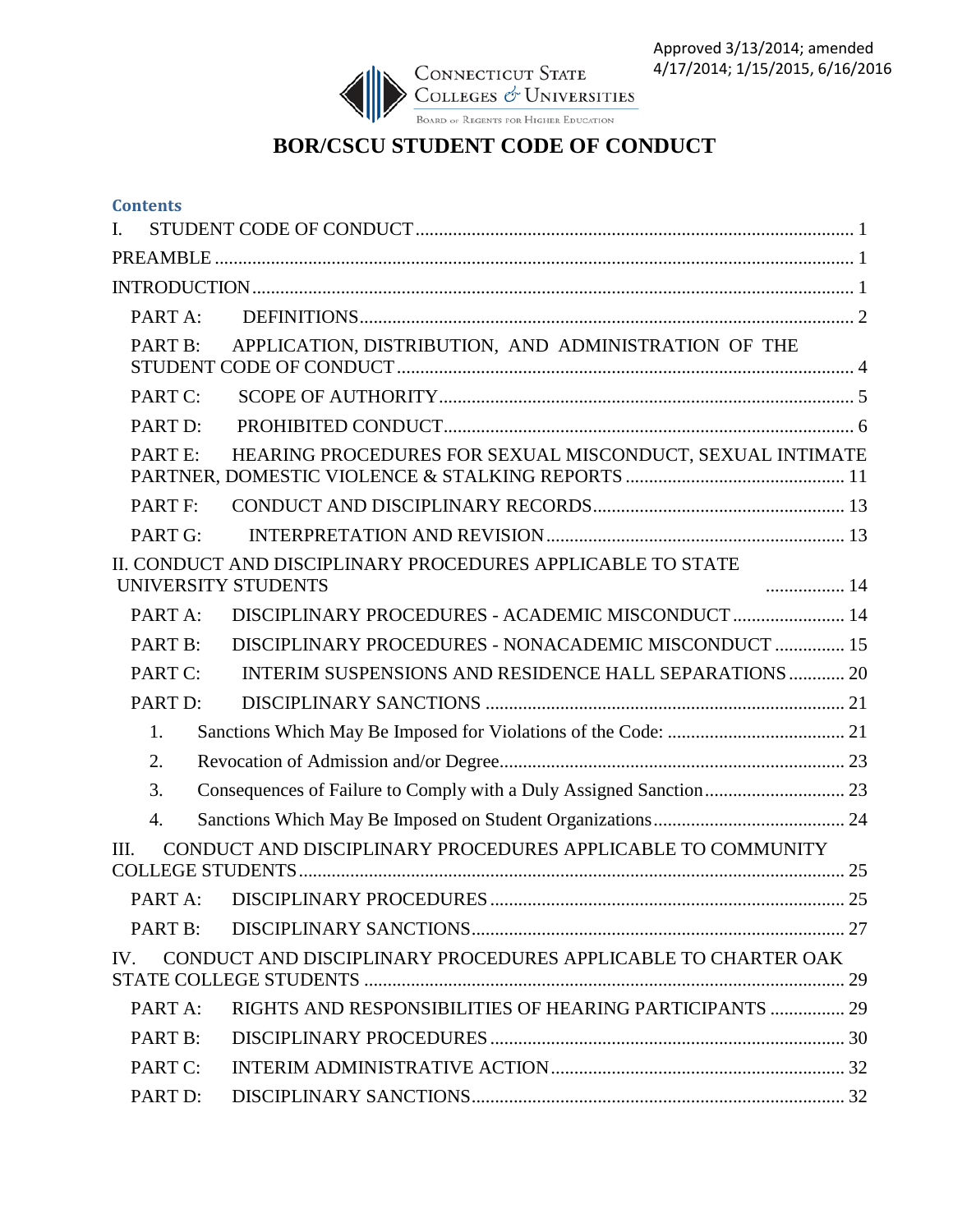

## **BOR/CSCU STUDENT CODE OF CONDUCT**

| <b>Contents</b>                                                                    |  |
|------------------------------------------------------------------------------------|--|
| I.                                                                                 |  |
|                                                                                    |  |
|                                                                                    |  |
| PART A:                                                                            |  |
| APPLICATION, DISTRIBUTION, AND ADMINISTRATION OF THE<br>PART B:                    |  |
| PART C:                                                                            |  |
| PART <sub>D:</sub>                                                                 |  |
| HEARING PROCEDURES FOR SEXUAL MISCONDUCT, SEXUAL INTIMATE<br>PARTE:                |  |
| PART F:                                                                            |  |
| PART G:                                                                            |  |
| II. CONDUCT AND DISCIPLINARY PROCEDURES APPLICABLE TO STATE<br>UNIVERSITY STUDENTS |  |
| DISCIPLINARY PROCEDURES - ACADEMIC MISCONDUCT  14<br>PART A:                       |  |
| DISCIPLINARY PROCEDURES - NONACADEMIC MISCONDUCT  15<br>PART B:                    |  |
| INTERIM SUSPENSIONS AND RESIDENCE HALL SEPARATIONS  20<br>PART C:                  |  |
| PART D:                                                                            |  |
| 1.                                                                                 |  |
| 2.                                                                                 |  |
| 3.                                                                                 |  |
| 4.                                                                                 |  |
| CONDUCT AND DISCIPLINARY PROCEDURES APPLICABLE TO COMMUNITY<br>III.                |  |
|                                                                                    |  |
| PART B:                                                                            |  |
| CONDUCT AND DISCIPLINARY PROCEDURES APPLICABLE TO CHARTER OAK<br>IV.               |  |
| RIGHTS AND RESPONSIBILITIES OF HEARING PARTICIPANTS  29<br>PART A:                 |  |
| PART B:                                                                            |  |
|                                                                                    |  |
| PART C:                                                                            |  |
| PART D:                                                                            |  |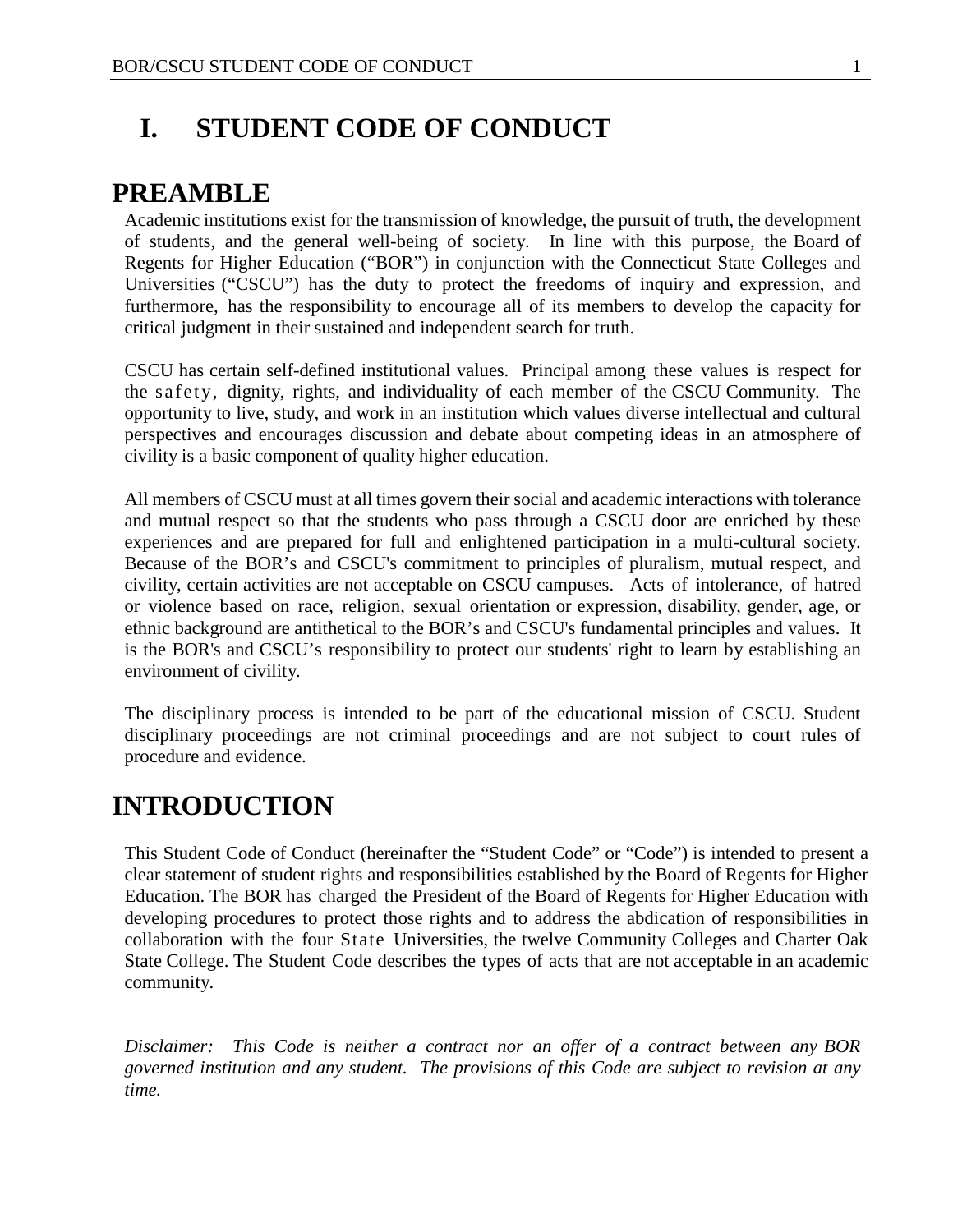# <span id="page-1-0"></span>**I. STUDENT CODE OF CONDUCT**

## <span id="page-1-1"></span>**PREAMBLE**

Academic institutions exist for the transmission of knowledge, the pursuit of truth, the development of students, and the general well-being of society. In line with this purpose, the Board of Regents for Higher Education ("BOR") in conjunction with the Connecticut State Colleges and Universities ("CSCU") has the duty to protect the freedoms of inquiry and expression, and furthermore, has the responsibility to encourage all of its members to develop the capacity for critical judgment in their sustained and independent search for truth.

CSCU has certain self-defined institutional values. Principal among these values is respect for the safety, dignity, rights, and individuality of each member of the CSCU Community. The opportunity to live, study, and work in an institution which values diverse intellectual and cultural perspectives and encourages discussion and debate about competing ideas in an atmosphere of civility is a basic component of quality higher education.

All members of CSCU must at all times govern their social and academic interactions with tolerance and mutual respect so that the students who pass through a CSCU door are enriched by these experiences and are prepared for full and enlightened participation in a multi-cultural society. Because of the BOR's and CSCU's commitment to principles of pluralism, mutual respect, and civility, certain activities are not acceptable on CSCU campuses. Acts of intolerance, of hatred or violence based on race, religion, sexual orientation or expression, disability, gender, age, or ethnic background are antithetical to the BOR's and CSCU's fundamental principles and values. It is the BOR's and CSCU's responsibility to protect our students' right to learn by establishing an environment of civility.

The disciplinary process is intended to be part of the educational mission of CSCU. Student disciplinary proceedings are not criminal proceedings and are not subject to court rules of procedure and evidence.

## <span id="page-1-2"></span>**INTRODUCTION**

This Student Code of Conduct (hereinafter the "Student Code" or "Code") is intended to present a clear statement of student rights and responsibilities established by the Board of Regents for Higher Education. The BOR has charged the President of the Board of Regents for Higher Education with developing procedures to protect those rights and to address the abdication of responsibilities in collaboration with the four State Universities, the twelve Community Colleges and Charter Oak State College. The Student Code describes the types of acts that are not acceptable in an academic community.

*Disclaimer: This Code is neither a contract nor an offer of a contract between any BOR governed institution and any student. The provisions of this Code are subject to revision at any time.*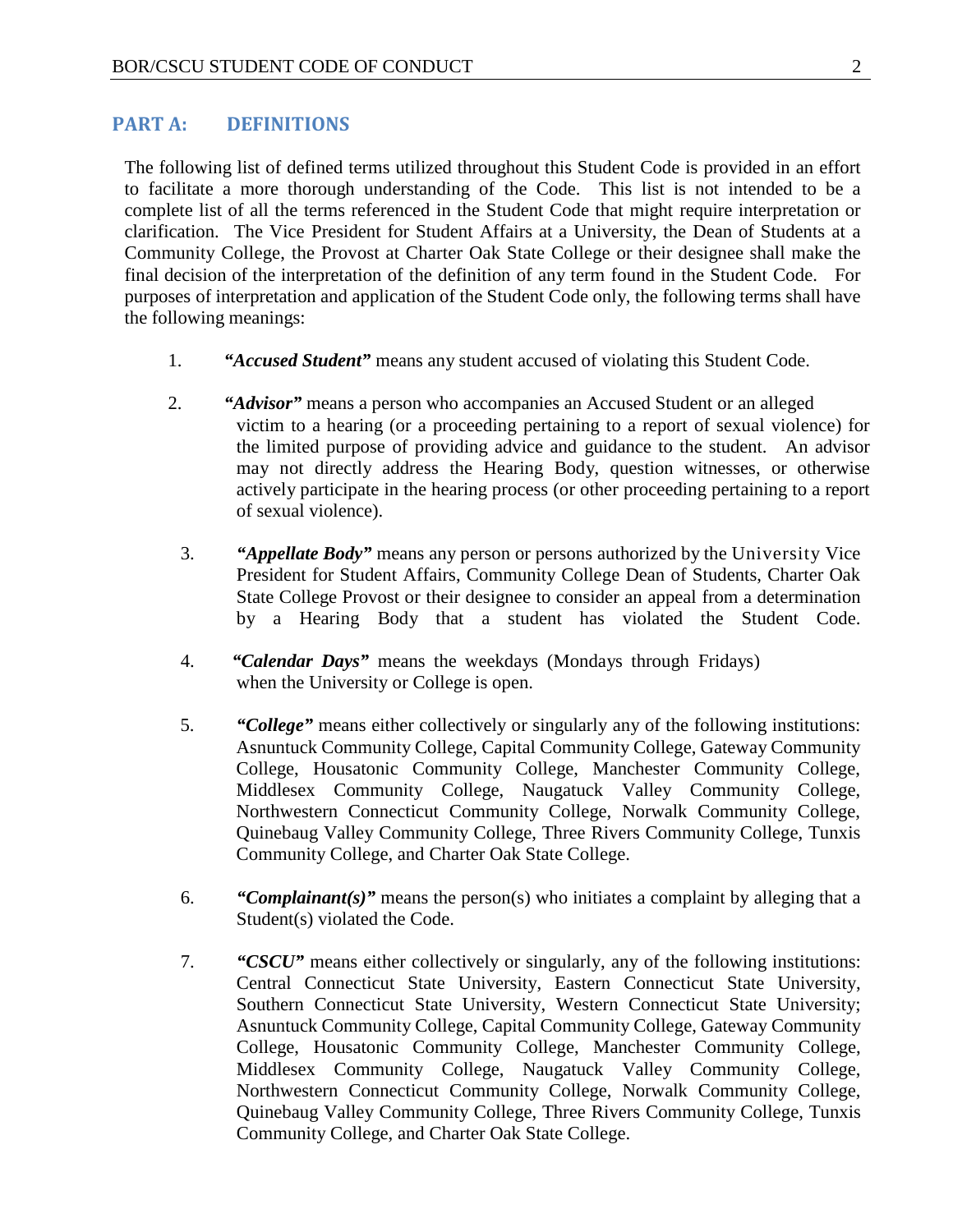#### <span id="page-2-0"></span>**PART A: DEFINITIONS**

The following list of defined terms utilized throughout this Student Code is provided in an effort to facilitate a more thorough understanding of the Code. This list is not intended to be a complete list of all the terms referenced in the Student Code that might require interpretation or clarification. The Vice President for Student Affairs at a University, the Dean of Students at a Community College, the Provost at Charter Oak State College or their designee shall make the final decision of the interpretation of the definition of any term found in the Student Code. For purposes of interpretation and application of the Student Code only, the following terms shall have the following meanings:

- 1. *"Accused Student"* means any student accused of violating this Student Code.
- 2. *"Advisor"* means a person who accompanies an Accused Student or an alleged victim to a hearing (or a proceeding pertaining to a report of sexual violence) for the limited purpose of providing advice and guidance to the student. An advisor may not directly address the Hearing Body, question witnesses, or otherwise actively participate in the hearing process (or other proceeding pertaining to a report of sexual violence).
	- 3. *"Appellate Body"* means any person or persons authorized by the University Vice President for Student Affairs, Community College Dean of Students, Charter Oak State College Provost or their designee to consider an appeal from a determination by a Hearing Body that a student has violated the Student Code.
	- 4. *"Calendar Days"* means the weekdays (Mondays through Fridays) when the University or College is open.
	- 5. *"College"* means either collectively or singularly any of the following institutions: Asnuntuck Community College, Capital Community College, Gateway Community College, Housatonic Community College, Manchester Community College, Middlesex Community College, Naugatuck Valley Community College, Northwestern Connecticut Community College, Norwalk Community College, Quinebaug Valley Community College, Three Rivers Community College, Tunxis Community College, and Charter Oak State College.
	- 6. *"Complainant(s)"* means the person(s) who initiates a complaint by alleging that a Student(s) violated the Code.
	- 7. *"CSCU"* means either collectively or singularly, any of the following institutions: Central Connecticut State University, Eastern Connecticut State University, Southern Connecticut State University, Western Connecticut State University; Asnuntuck Community College, Capital Community College, Gateway Community College, Housatonic Community College, Manchester Community College, Middlesex Community College, Naugatuck Valley Community College, Northwestern Connecticut Community College, Norwalk Community College, Quinebaug Valley Community College, Three Rivers Community College, Tunxis Community College, and Charter Oak State College.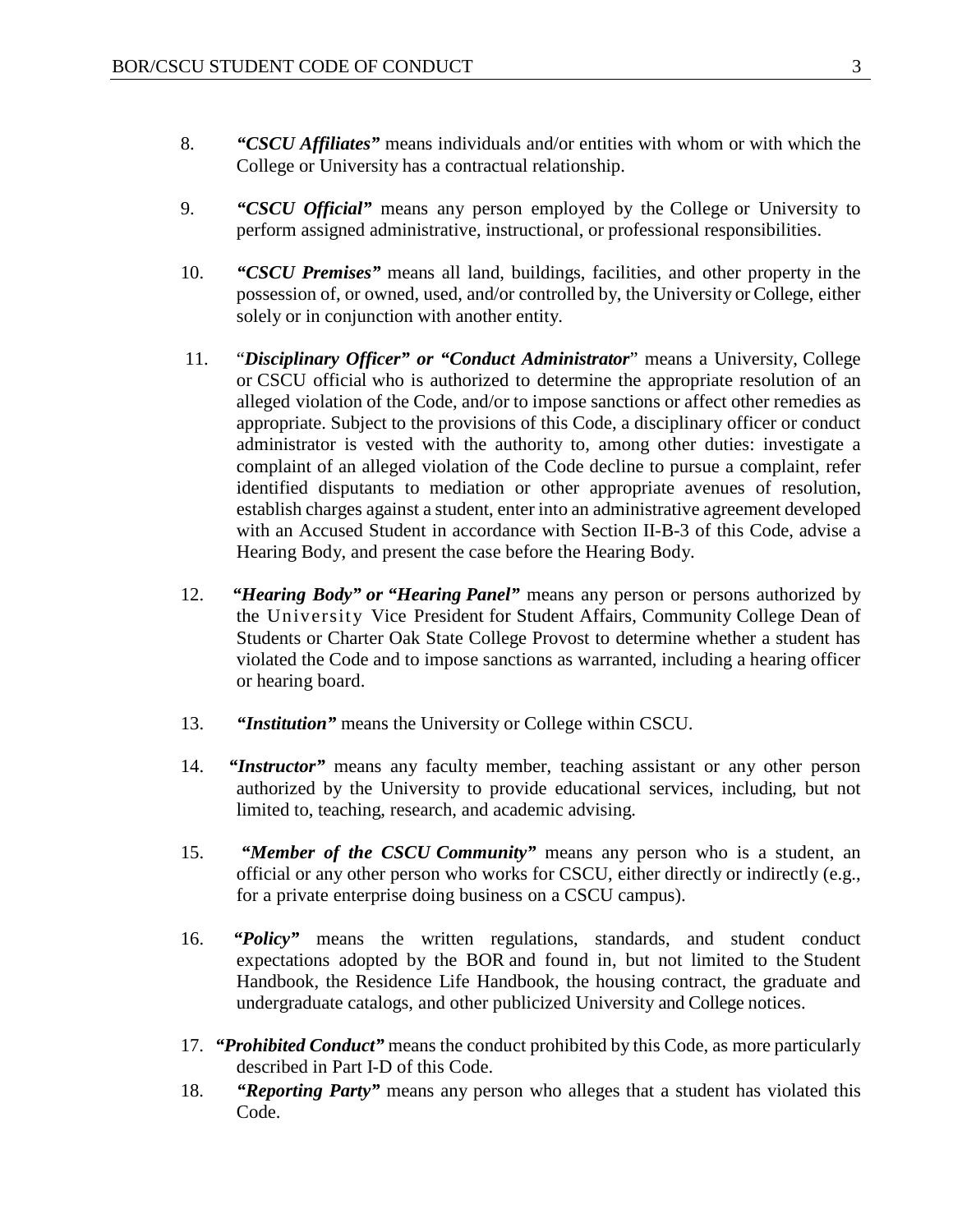- 8. *"CSCU Affiliates"* means individuals and/or entities with whom or with which the College or University has a contractual relationship.
- 9. *"CSCU Official"* means any person employed by the College or University to perform assigned administrative, instructional, or professional responsibilities.
- 10. *"CSCU Premises"* means all land, buildings, facilities, and other property in the possession of, or owned, used, and/or controlled by, the University or College, either solely or in conjunction with another entity.
- 11. "*Disciplinary Officer" or "Conduct Administrator*" means a University, College or CSCU official who is authorized to determine the appropriate resolution of an alleged violation of the Code, and/or to impose sanctions or affect other remedies as appropriate. Subject to the provisions of this Code, a disciplinary officer or conduct administrator is vested with the authority to, among other duties: investigate a complaint of an alleged violation of the Code decline to pursue a complaint, refer identified disputants to mediation or other appropriate avenues of resolution, establish charges against a student, enter into an administrative agreement developed with an Accused Student in accordance with Section II-B-3 of this Code, advise a Hearing Body, and present the case before the Hearing Body.
- 12. *"Hearing Body" or "Hearing Panel"* means any person or persons authorized by the University Vice President for Student Affairs, Community College Dean of Students or Charter Oak State College Provost to determine whether a student has violated the Code and to impose sanctions as warranted, including a hearing officer or hearing board.
- 13. *"Institution"* means the University or College within CSCU.
- 14. *"Instructor"* means any faculty member, teaching assistant or any other person authorized by the University to provide educational services, including, but not limited to, teaching, research, and academic advising.
- 15. *"Member of the CSCU Community"* means any person who is a student, an official or any other person who works for CSCU, either directly or indirectly (e.g., for a private enterprise doing business on a CSCU campus).
- 16. *"Policy"* means the written regulations, standards, and student conduct expectations adopted by the BOR and found in, but not limited to the Student Handbook, the Residence Life Handbook, the housing contract, the graduate and undergraduate catalogs, and other publicized University and College notices.
- 17. *"Prohibited Conduct"* means the conduct prohibited by this Code, as more particularly described in Part I-D of this Code.
- 18. *"Reporting Party"* means any person who alleges that a student has violated this Code.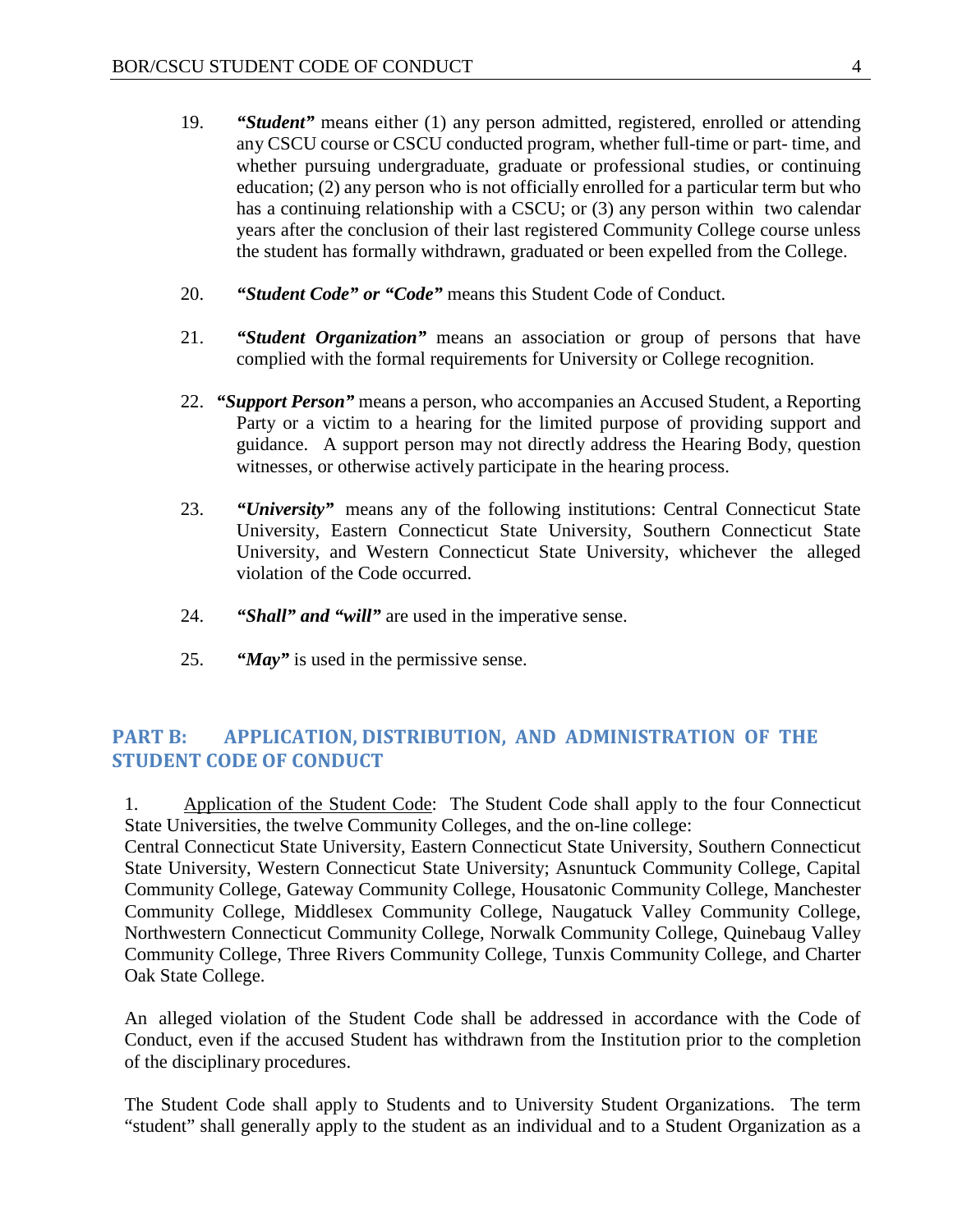- 19. *"Student"* means either (1) any person admitted, registered, enrolled or attending any CSCU course or CSCU conducted program, whether full-time or part- time, and whether pursuing undergraduate, graduate or professional studies, or continuing education; (2) any person who is not officially enrolled for a particular term but who has a continuing relationship with a CSCU; or (3) any person within two calendar years after the conclusion of their last registered Community College course unless the student has formally withdrawn, graduated or been expelled from the College.
- 20. *"Student Code" or "Code"* means this Student Code of Conduct.
- 21. *"Student Organization"* means an association or group of persons that have complied with the formal requirements for University or College recognition.
- 22. *"Support Person"* means a person, who accompanies an Accused Student, a Reporting Party or a victim to a hearing for the limited purpose of providing support and guidance. A support person may not directly address the Hearing Body, question witnesses, or otherwise actively participate in the hearing process.
- 23. *"University"* means any of the following institutions: Central Connecticut State University, Eastern Connecticut State University, Southern Connecticut State University, and Western Connecticut State University, whichever the alleged violation of the Code occurred.
- 24. *"Shall" and "will"* are used in the imperative sense.
- 25. *"May"* is used in the permissive sense.

## <span id="page-4-0"></span>**PART B: APPLICATION, DISTRIBUTION, AND ADMINISTRATION OF THE STUDENT CODE OF CONDUCT**

1. Application of the Student Code: The Student Code shall apply to the four Connecticut State Universities, the twelve Community Colleges, and the on-line college:

Central Connecticut State University, Eastern Connecticut State University, Southern Connecticut State University, Western Connecticut State University; Asnuntuck Community College, Capital Community College, Gateway Community College, Housatonic Community College, Manchester Community College, Middlesex Community College, Naugatuck Valley Community College, Northwestern Connecticut Community College, Norwalk Community College, Quinebaug Valley Community College, Three Rivers Community College, Tunxis Community College, and Charter Oak State College.

An alleged violation of the Student Code shall be addressed in accordance with the Code of Conduct, even if the accused Student has withdrawn from the Institution prior to the completion of the disciplinary procedures.

The Student Code shall apply to Students and to University Student Organizations. The term "student" shall generally apply to the student as an individual and to a Student Organization as a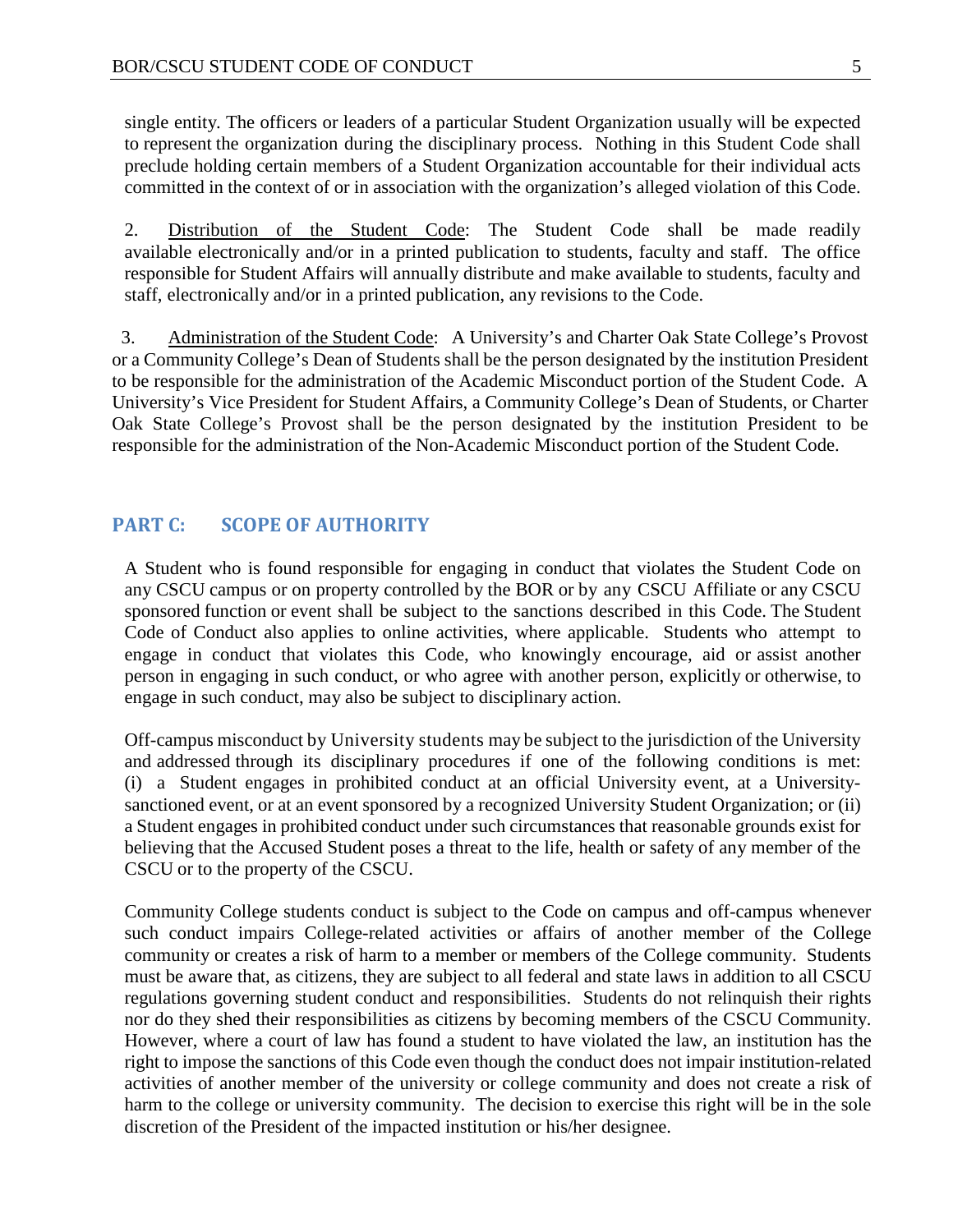single entity. The officers or leaders of a particular Student Organization usually will be expected to represent the organization during the disciplinary process. Nothing in this Student Code shall preclude holding certain members of a Student Organization accountable for their individual acts committed in the context of or in association with the organization's alleged violation of this Code.

2. Distribution of the Student Code: The Student Code shall be made readily available electronically and/or in a printed publication to students, faculty and staff. The office responsible for Student Affairs will annually distribute and make available to students, faculty and staff, electronically and/or in a printed publication, any revisions to the Code.

 3. Administration of the Student Code: A University's and Charter Oak State College's Provost or a Community College's Dean of Students shall be the person designated by the institution President to be responsible for the administration of the Academic Misconduct portion of the Student Code. A University's Vice President for Student Affairs, a Community College's Dean of Students, or Charter Oak State College's Provost shall be the person designated by the institution President to be responsible for the administration of the Non-Academic Misconduct portion of the Student Code.

#### <span id="page-5-0"></span>**PART C: SCOPE OF AUTHORITY**

A Student who is found responsible for engaging in conduct that violates the Student Code on any CSCU campus or on property controlled by the BOR or by any CSCU Affiliate or any CSCU sponsored function or event shall be subject to the sanctions described in this Code. The Student Code of Conduct also applies to online activities, where applicable. Students who attempt to engage in conduct that violates this Code, who knowingly encourage, aid or assist another person in engaging in such conduct, or who agree with another person, explicitly or otherwise, to engage in such conduct, may also be subject to disciplinary action.

Off-campus misconduct by University students may be subject to the jurisdiction of the University and addressed through its disciplinary procedures if one of the following conditions is met: (i) a Student engages in prohibited conduct at an official University event, at a Universitysanctioned event, or at an event sponsored by a recognized University Student Organization; or (ii) a Student engages in prohibited conduct under such circumstances that reasonable grounds exist for believing that the Accused Student poses a threat to the life, health or safety of any member of the CSCU or to the property of the CSCU.

Community College students conduct is subject to the Code on campus and off-campus whenever such conduct impairs College-related activities or affairs of another member of the College community or creates a risk of harm to a member or members of the College community. Students must be aware that, as citizens, they are subject to all federal and state laws in addition to all CSCU regulations governing student conduct and responsibilities. Students do not relinquish their rights nor do they shed their responsibilities as citizens by becoming members of the CSCU Community. However, where a court of law has found a student to have violated the law, an institution has the right to impose the sanctions of this Code even though the conduct does not impair institution-related activities of another member of the university or college community and does not create a risk of harm to the college or university community. The decision to exercise this right will be in the sole discretion of the President of the impacted institution or his/her designee.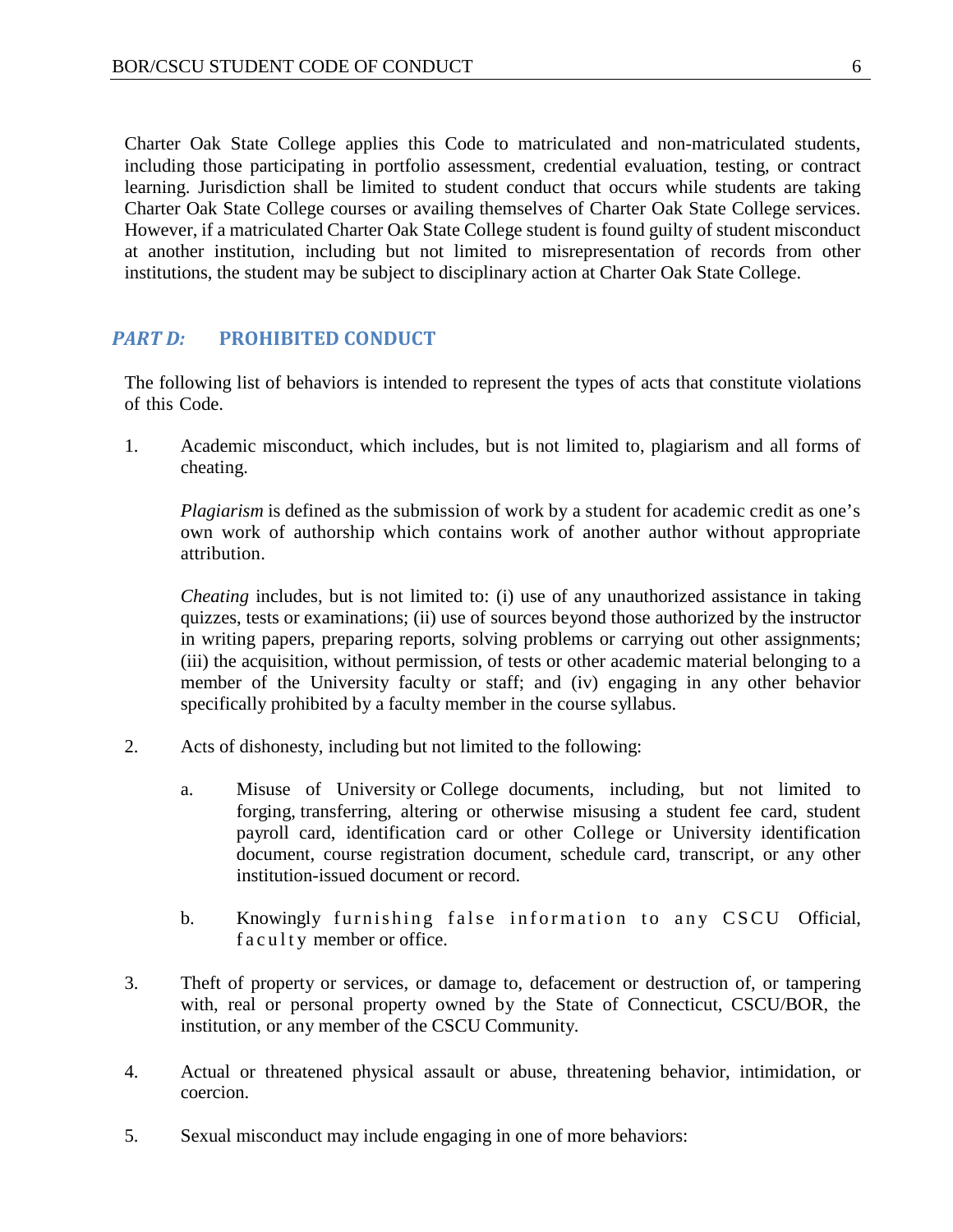Charter Oak State College applies this Code to matriculated and non-matriculated students, including those participating in portfolio assessment, credential evaluation, testing, or contract learning. Jurisdiction shall be limited to student conduct that occurs while students are taking Charter Oak State College courses or availing themselves of Charter Oak State College services. However, if a matriculated Charter Oak State College student is found guilty of student misconduct at another institution, including but not limited to misrepresentation of records from other institutions, the student may be subject to disciplinary action at Charter Oak State College.

#### <span id="page-6-0"></span>*PART D:* **PROHIBITED CONDUCT**

The following list of behaviors is intended to represent the types of acts that constitute violations of this Code.

1. Academic misconduct, which includes, but is not limited to, plagiarism and all forms of cheating.

*Plagiarism* is defined as the submission of work by a student for academic credit as one's own work of authorship which contains work of another author without appropriate attribution.

*Cheating* includes, but is not limited to: (i) use of any unauthorized assistance in taking quizzes, tests or examinations; (ii) use of sources beyond those authorized by the instructor in writing papers, preparing reports, solving problems or carrying out other assignments; (iii) the acquisition, without permission, of tests or other academic material belonging to a member of the University faculty or staff; and (iv) engaging in any other behavior specifically prohibited by a faculty member in the course syllabus.

- 2. Acts of dishonesty, including but not limited to the following:
	- a. Misuse of University or College documents, including, but not limited to forging, transferring, altering or otherwise misusing a student fee card, student payroll card, identification card or other College or University identification document, course registration document, schedule card, transcript, or any other institution-issued document or record.
	- b. Knowingly furnishing false information to any CSCU Official, faculty member or office.
- 3. Theft of property or services, or damage to, defacement or destruction of, or tampering with, real or personal property owned by the State of Connecticut, CSCU/BOR, the institution, or any member of the CSCU Community.
- 4. Actual or threatened physical assault or abuse, threatening behavior, intimidation, or coercion.
- 5. Sexual misconduct may include engaging in one of more behaviors: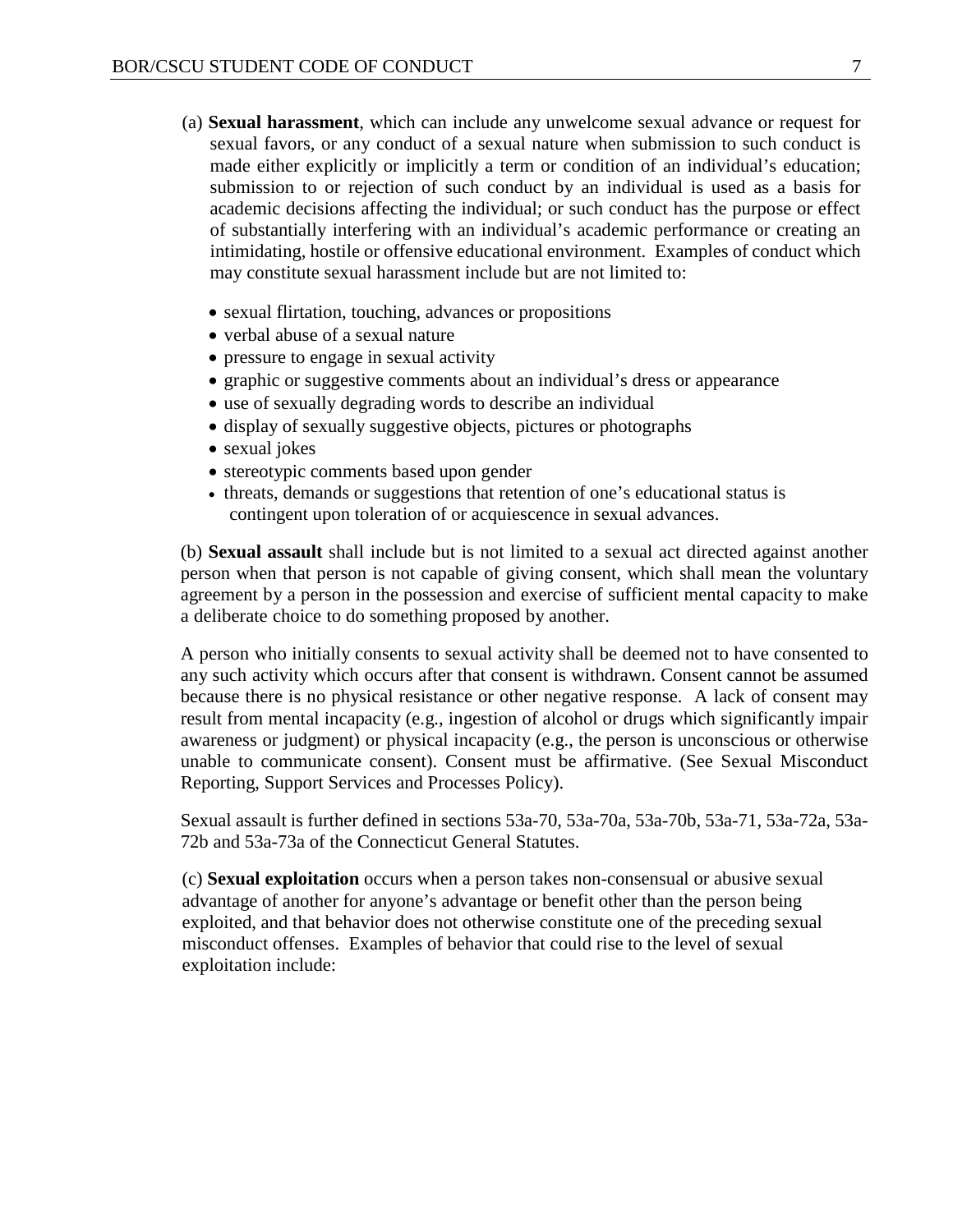- (a) **Sexual harassment**, which can include any unwelcome sexual advance or request for sexual favors, or any conduct of a sexual nature when submission to such conduct is made either explicitly or implicitly a term or condition of an individual's education; submission to or rejection of such conduct by an individual is used as a basis for academic decisions affecting the individual; or such conduct has the purpose or effect of substantially interfering with an individual's academic performance or creating an intimidating, hostile or offensive educational environment. Examples of conduct which may constitute sexual harassment include but are not limited to:
	- sexual flirtation, touching, advances or propositions
	- verbal abuse of a sexual nature
	- pressure to engage in sexual activity
	- graphic or suggestive comments about an individual's dress or appearance
	- use of sexually degrading words to describe an individual
	- display of sexually suggestive objects, pictures or photographs
	- sexual jokes
	- stereotypic comments based upon gender
	- threats, demands or suggestions that retention of one's educational status is contingent upon toleration of or acquiescence in sexual advances.

(b) **Sexual assault** shall include but is not limited to a sexual act directed against another person when that person is not capable of giving consent, which shall mean the voluntary agreement by a person in the possession and exercise of sufficient mental capacity to make a deliberate choice to do something proposed by another.

A person who initially consents to sexual activity shall be deemed not to have consented to any such activity which occurs after that consent is withdrawn. Consent cannot be assumed because there is no physical resistance or other negative response. A lack of consent may result from mental incapacity (e.g., ingestion of alcohol or drugs which significantly impair awareness or judgment) or physical incapacity (e.g., the person is unconscious or otherwise unable to communicate consent). Consent must be affirmative. (See Sexual Misconduct Reporting, Support Services and Processes Policy).

Sexual assault is further defined in sections 53a-70, 53a-70a, 53a-70b, 53a-71, 53a-72a, 53a-72b and 53a-73a of the Connecticut General Statutes.

(c) **Sexual exploitation** occurs when a person takes non-consensual or abusive sexual advantage of another for anyone's advantage or benefit other than the person being exploited, and that behavior does not otherwise constitute one of the preceding sexual misconduct offenses. Examples of behavior that could rise to the level of sexual exploitation include: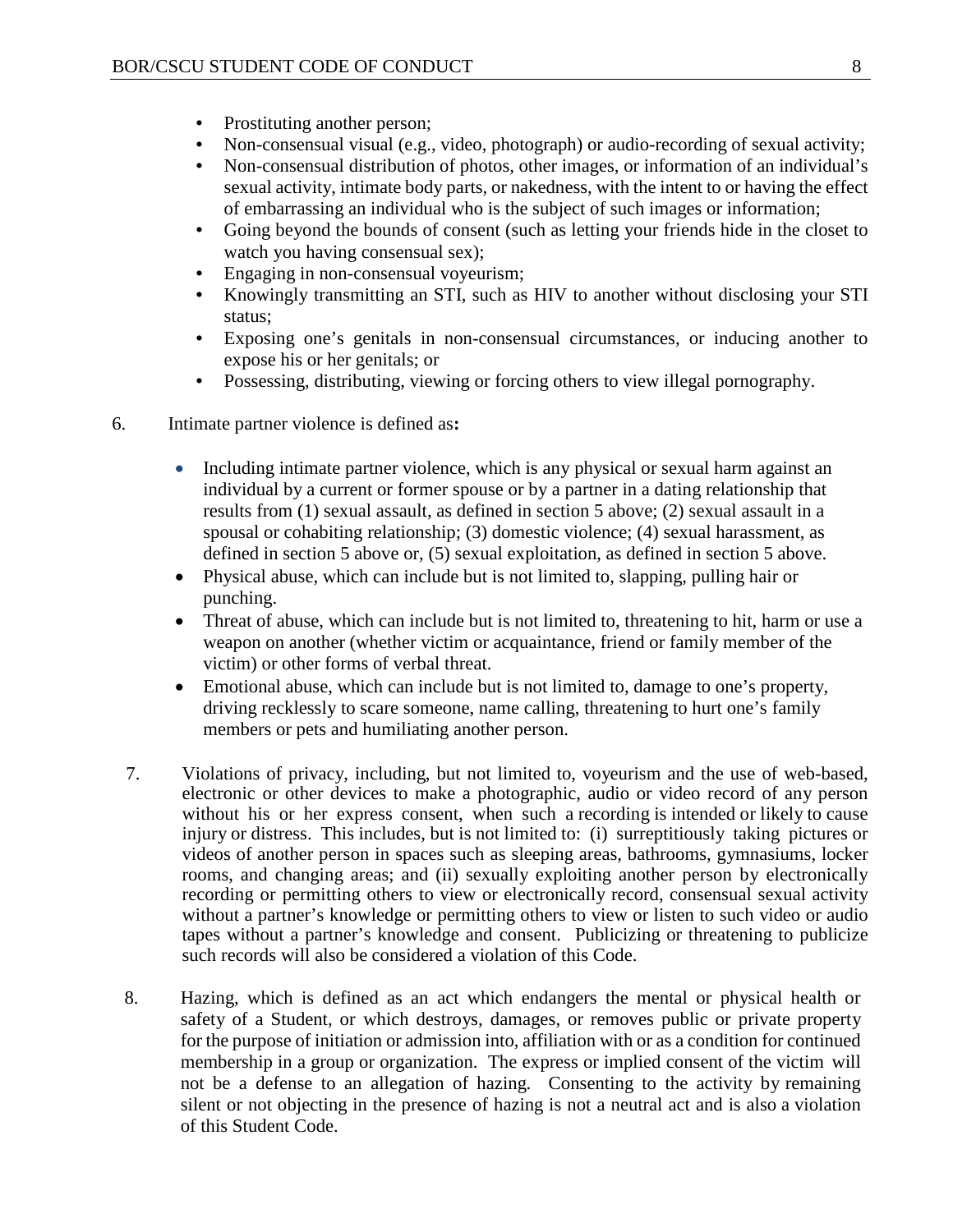- Prostituting another person;
- Non-consensual visual (e.g., video, photograph) or audio-recording of sexual activity;
- Non-consensual distribution of photos, other images, or information of an individual's sexual activity, intimate body parts, or nakedness, with the intent to or having the effect of embarrassing an individual who is the subject of such images or information;
- Going beyond the bounds of consent (such as letting your friends hide in the closet to watch you having consensual sex);
- Engaging in non-consensual voyeurism;
- Knowingly transmitting an STI, such as HIV to another without disclosing your STI status;
- Exposing one's genitals in non-consensual circumstances, or inducing another to expose his or her genitals; or
- Possessing, distributing, viewing or forcing others to view illegal pornography.
- 6. Intimate partner violence is defined as**:**
	- Including intimate partner violence, which is any physical or sexual harm against an individual by a current or former spouse or by a partner in a dating relationship that results from (1) sexual assault, as defined in section 5 above; (2) sexual assault in a spousal or cohabiting relationship; (3) domestic violence; (4) sexual harassment, as defined in section 5 above or, (5) sexual exploitation, as defined in section 5 above.
	- Physical abuse, which can include but is not limited to, slapping, pulling hair or punching.
	- Threat of abuse, which can include but is not limited to, threatening to hit, harm or use a weapon on another (whether victim or acquaintance, friend or family member of the victim) or other forms of verbal threat.
	- Emotional abuse, which can include but is not limited to, damage to one's property, driving recklessly to scare someone, name calling, threatening to hurt one's family members or pets and humiliating another person.
	- 7. Violations of privacy, including, but not limited to, voyeurism and the use of web-based, electronic or other devices to make a photographic, audio or video record of any person without his or her express consent, when such a recording is intended or likely to cause injury or distress. This includes, but is not limited to: (i) surreptitiously taking pictures or videos of another person in spaces such as sleeping areas, bathrooms, gymnasiums, locker rooms, and changing areas; and (ii) sexually exploiting another person by electronically recording or permitting others to view or electronically record, consensual sexual activity without a partner's knowledge or permitting others to view or listen to such video or audio tapes without a partner's knowledge and consent. Publicizing or threatening to publicize such records will also be considered a violation of this Code.
	- 8. Hazing, which is defined as an act which endangers the mental or physical health or safety of a Student, or which destroys, damages, or removes public or private property for the purpose of initiation or admission into, affiliation with or as a condition for continued membership in a group or organization. The express or implied consent of the victim will not be a defense to an allegation of hazing. Consenting to the activity by remaining silent or not objecting in the presence of hazing is not a neutral act and is also a violation of this Student Code.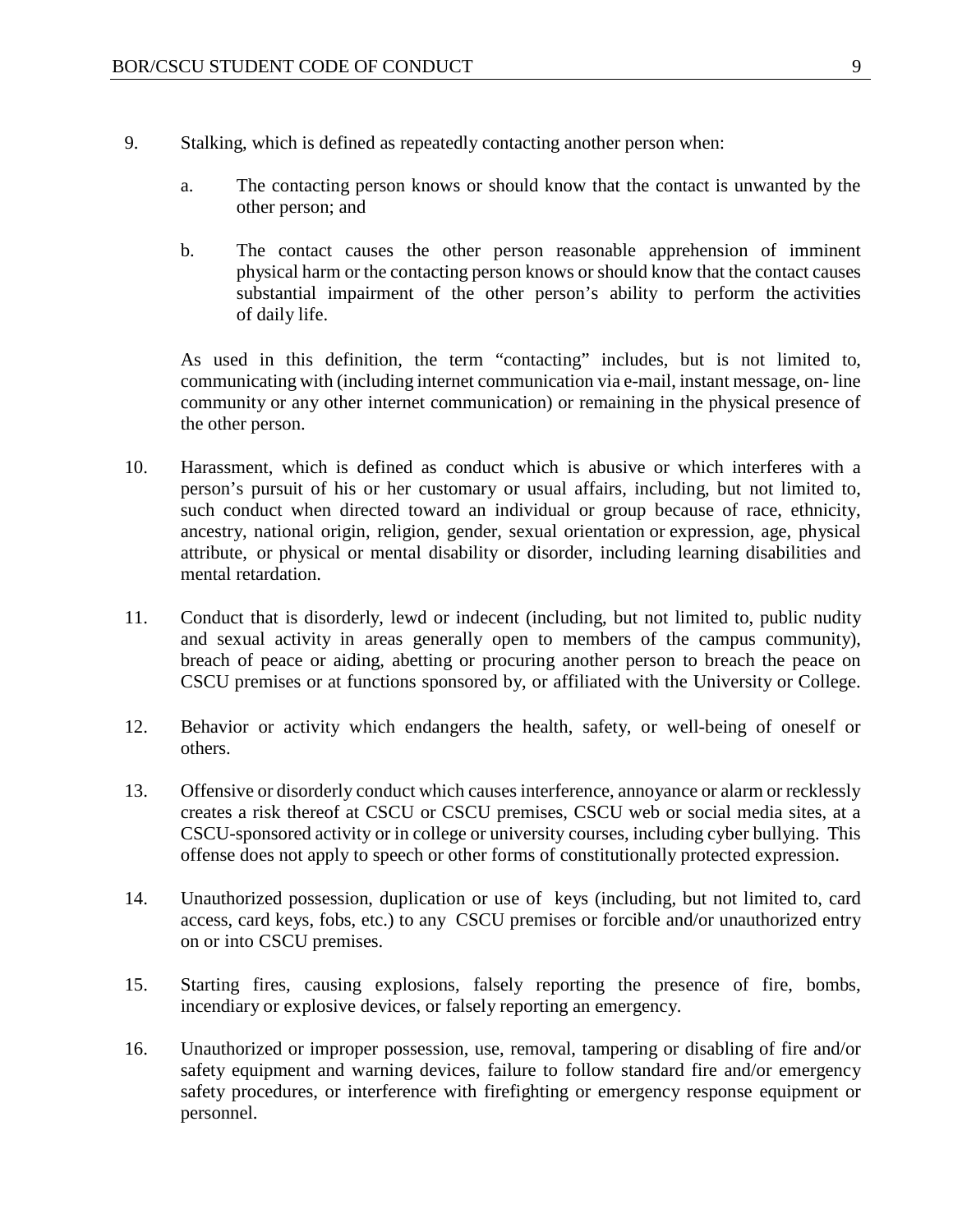- 9. Stalking, which is defined as repeatedly contacting another person when:
	- a. The contacting person knows or should know that the contact is unwanted by the other person; and
	- b. The contact causes the other person reasonable apprehension of imminent physical harm or the contacting person knows or should know that the contact causes substantial impairment of the other person's ability to perform the activities of daily life.

As used in this definition, the term "contacting" includes, but is not limited to, communicating with (including internet communication via e-mail, instant message, on- line community or any other internet communication) or remaining in the physical presence of the other person.

- 10. Harassment, which is defined as conduct which is abusive or which interferes with a person's pursuit of his or her customary or usual affairs, including, but not limited to, such conduct when directed toward an individual or group because of race, ethnicity, ancestry, national origin, religion, gender, sexual orientation or expression, age, physical attribute, or physical or mental disability or disorder, including learning disabilities and mental retardation.
- 11. Conduct that is disorderly, lewd or indecent (including, but not limited to, public nudity and sexual activity in areas generally open to members of the campus community), breach of peace or aiding, abetting or procuring another person to breach the peace on CSCU premises or at functions sponsored by, or affiliated with the University or College.
- 12. Behavior or activity which endangers the health, safety, or well-being of oneself or others.
- 13. Offensive or disorderly conduct which causes interference, annoyance or alarm or recklessly creates a risk thereof at CSCU or CSCU premises, CSCU web or social media sites, at a CSCU-sponsored activity or in college or university courses, including cyber bullying. This offense does not apply to speech or other forms of constitutionally protected expression.
- 14. Unauthorized possession, duplication or use of keys (including, but not limited to, card access, card keys, fobs, etc.) to any CSCU premises or forcible and/or unauthorized entry on or into CSCU premises.
- 15. Starting fires, causing explosions, falsely reporting the presence of fire, bombs, incendiary or explosive devices, or falsely reporting an emergency.
- 16. Unauthorized or improper possession, use, removal, tampering or disabling of fire and/or safety equipment and warning devices, failure to follow standard fire and/or emergency safety procedures, or interference with firefighting or emergency response equipment or personnel.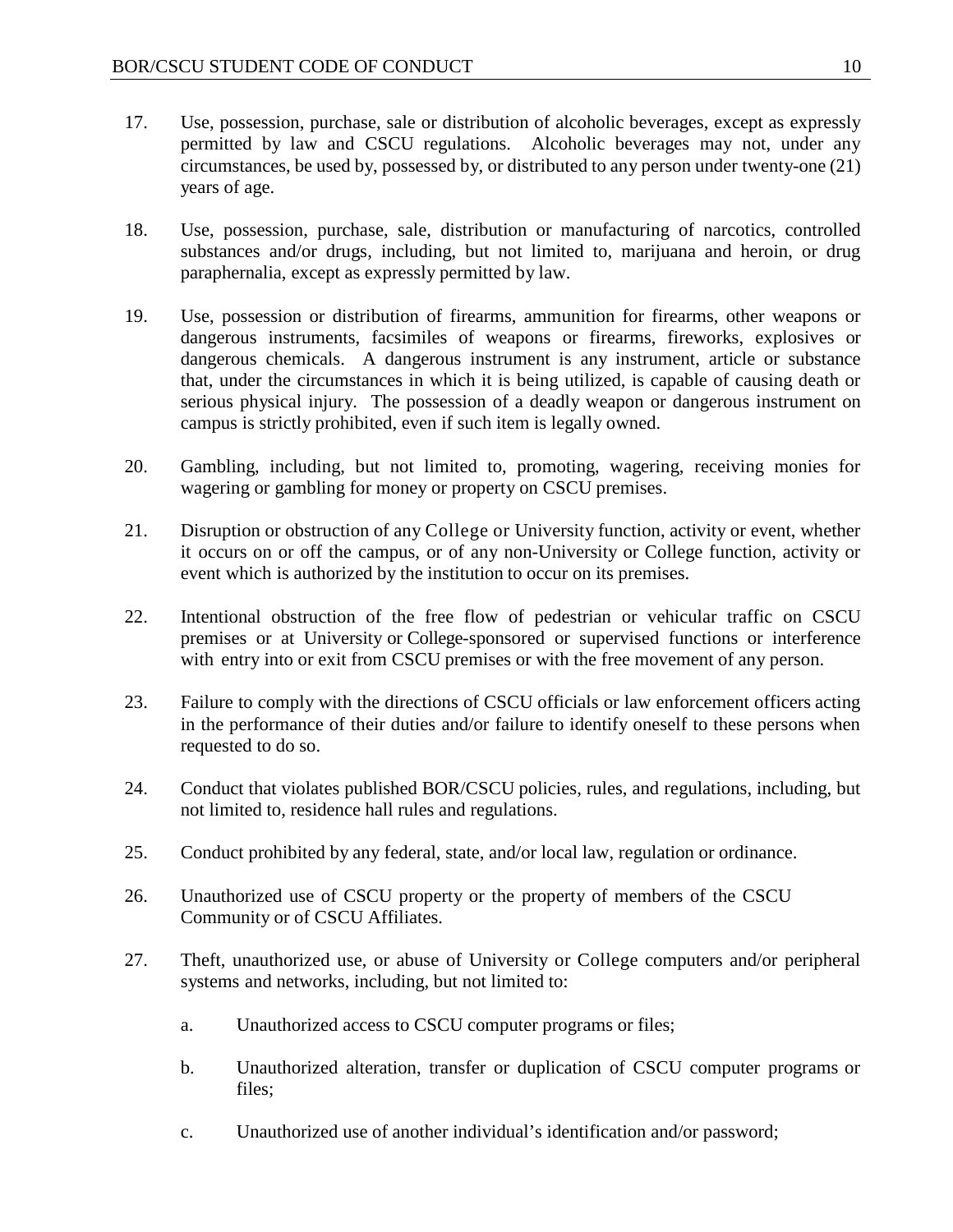- 17. Use, possession, purchase, sale or distribution of alcoholic beverages, except as expressly permitted by law and CSCU regulations. Alcoholic beverages may not, under any circumstances, be used by, possessed by, or distributed to any person under twenty-one (21) years of age.
- 18. Use, possession, purchase, sale, distribution or manufacturing of narcotics, controlled substances and/or drugs, including, but not limited to, marijuana and heroin, or drug paraphernalia, except as expressly permitted by law.
- 19. Use, possession or distribution of firearms, ammunition for firearms, other weapons or dangerous instruments, facsimiles of weapons or firearms, fireworks, explosives or dangerous chemicals. A dangerous instrument is any instrument, article or substance that, under the circumstances in which it is being utilized, is capable of causing death or serious physical injury. The possession of a deadly weapon or dangerous instrument on campus is strictly prohibited, even if such item is legally owned.
- 20. Gambling, including, but not limited to, promoting, wagering, receiving monies for wagering or gambling for money or property on CSCU premises.
- 21. Disruption or obstruction of any College or University function, activity or event, whether it occurs on or off the campus, or of any non-University or College function, activity or event which is authorized by the institution to occur on its premises.
- 22. Intentional obstruction of the free flow of pedestrian or vehicular traffic on CSCU premises or at University or College-sponsored or supervised functions or interference with entry into or exit from CSCU premises or with the free movement of any person.
- 23. Failure to comply with the directions of CSCU officials or law enforcement officers acting in the performance of their duties and/or failure to identify oneself to these persons when requested to do so.
- 24. Conduct that violates published BOR/CSCU policies, rules, and regulations, including, but not limited to, residence hall rules and regulations.
- 25. Conduct prohibited by any federal, state, and/or local law, regulation or ordinance.
- 26. Unauthorized use of CSCU property or the property of members of the CSCU Community or of CSCU Affiliates.
- 27. Theft, unauthorized use, or abuse of University or College computers and/or peripheral systems and networks, including, but not limited to:
	- a. Unauthorized access to CSCU computer programs or files;
	- b. Unauthorized alteration, transfer or duplication of CSCU computer programs or files;
	- c. Unauthorized use of another individual's identification and/or password;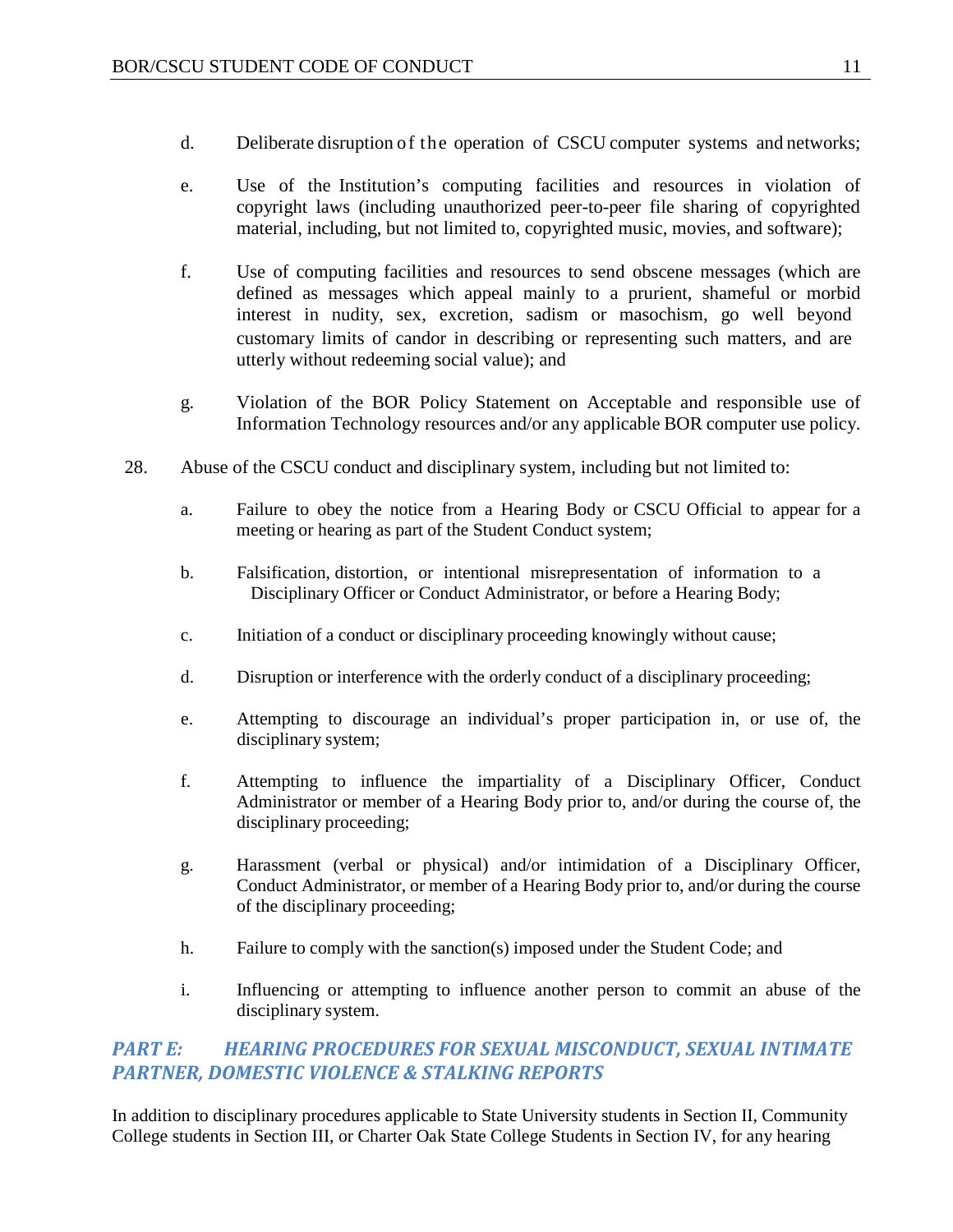- d. Deliberate disruption of the operation of CSCU computer systems and networks;
- e. Use of the Institution's computing facilities and resources in violation of copyright laws (including unauthorized peer-to-peer file sharing of copyrighted material, including, but not limited to, copyrighted music, movies, and software);
- f. Use of computing facilities and resources to send obscene messages (which are defined as messages which appeal mainly to a prurient, shameful or morbid interest in nudity, sex, excretion, sadism or masochism, go well beyond customary limits of candor in describing or representing such matters, and are utterly without redeeming social value); and
- g. Violation of the BOR Policy Statement on Acceptable and responsible use of Information Technology resources and/or any applicable BOR computer use policy.
- 28. Abuse of the CSCU conduct and disciplinary system, including but not limited to:
	- a. Failure to obey the notice from a Hearing Body or CSCU Official to appear for a meeting or hearing as part of the Student Conduct system;
	- b. Falsification, distortion, or intentional misrepresentation of information to a Disciplinary Officer or Conduct Administrator, or before a Hearing Body;
	- c. Initiation of a conduct or disciplinary proceeding knowingly without cause;
	- d. Disruption or interference with the orderly conduct of a disciplinary proceeding;
	- e. Attempting to discourage an individual's proper participation in, or use of, the disciplinary system;
	- f. Attempting to influence the impartiality of a Disciplinary Officer, Conduct Administrator or member of a Hearing Body prior to, and/or during the course of, the disciplinary proceeding;
	- g. Harassment (verbal or physical) and/or intimidation of a Disciplinary Officer, Conduct Administrator, or member of a Hearing Body prior to, and/or during the course of the disciplinary proceeding;
	- h. Failure to comply with the sanction(s) imposed under the Student Code; and
	- i. Influencing or attempting to influence another person to commit an abuse of the disciplinary system.

### <span id="page-11-0"></span>*PART E: HEARING PROCEDURES FOR SEXUAL MISCONDUCT, SEXUAL INTIMATE PARTNER, DOMESTIC VIOLENCE & STALKING REPORTS*

In addition to disciplinary procedures applicable to State University students in Section II, Community College students in Section III, or Charter Oak State College Students in Section IV, for any hearing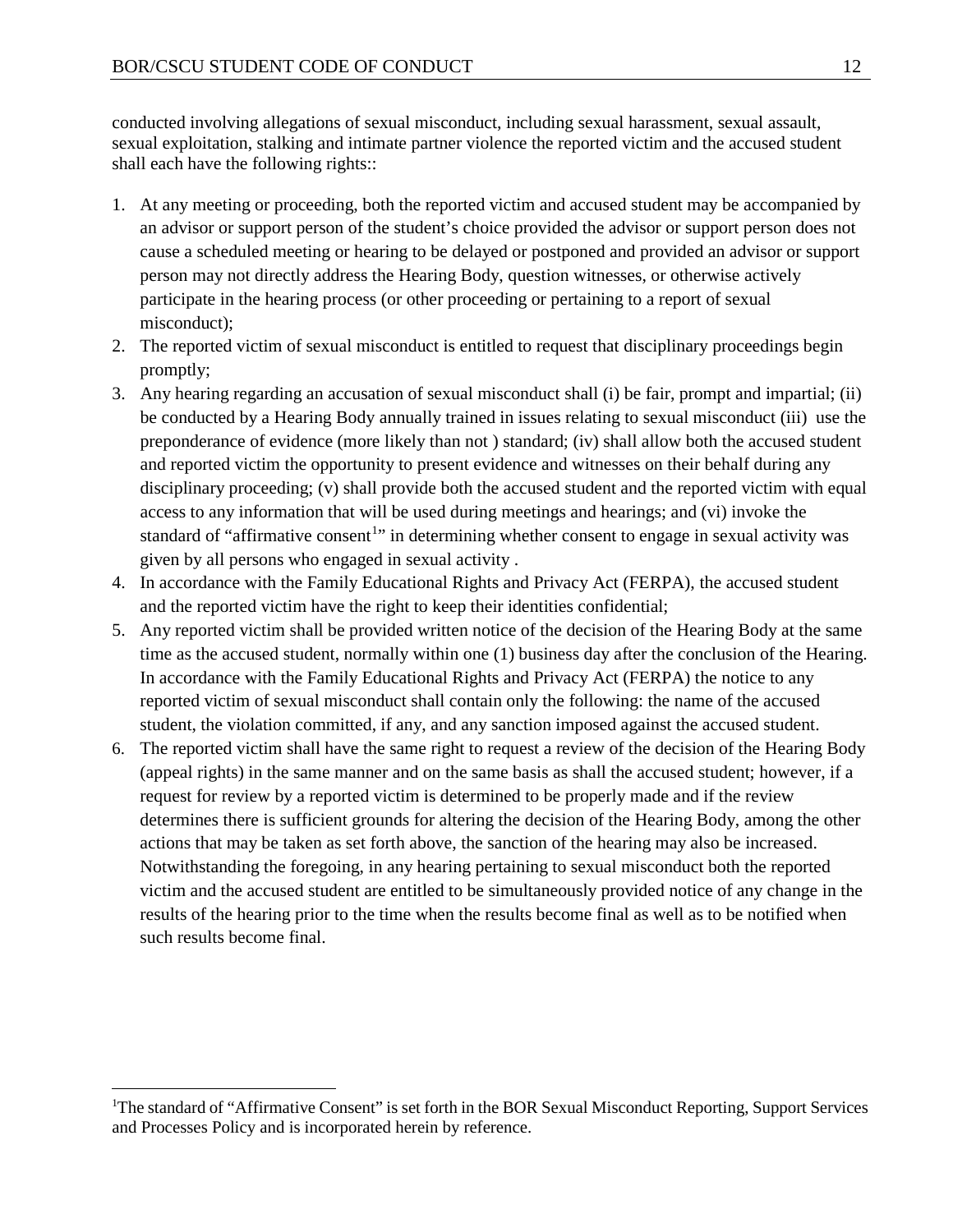conducted involving allegations of sexual misconduct, including sexual harassment, sexual assault, sexual exploitation, stalking and intimate partner violence the reported victim and the accused student shall each have the following rights::

- 1. At any meeting or proceeding, both the reported victim and accused student may be accompanied by an advisor or support person of the student's choice provided the advisor or support person does not cause a scheduled meeting or hearing to be delayed or postponed and provided an advisor or support person may not directly address the Hearing Body, question witnesses, or otherwise actively participate in the hearing process (or other proceeding or pertaining to a report of sexual misconduct);
- 2. The reported victim of sexual misconduct is entitled to request that disciplinary proceedings begin promptly;
- 3. Any hearing regarding an accusation of sexual misconduct shall (i) be fair, prompt and impartial; (ii) be conducted by a Hearing Body annually trained in issues relating to sexual misconduct (iii) use the preponderance of evidence (more likely than not ) standard; (iv) shall allow both the accused student and reported victim the opportunity to present evidence and witnesses on their behalf during any disciplinary proceeding; (v) shall provide both the accused student and the reported victim with equal access to any information that will be used during meetings and hearings; and (vi) invoke the standard of "affirmative consent<sup>[1](#page-12-0)</sup>" in determining whether consent to engage in sexual activity was given by all persons who engaged in sexual activity .
- 4. In accordance with the Family Educational Rights and Privacy Act (FERPA), the accused student and the reported victim have the right to keep their identities confidential;
- 5. Any reported victim shall be provided written notice of the decision of the Hearing Body at the same time as the accused student, normally within one (1) business day after the conclusion of the Hearing. In accordance with the Family Educational Rights and Privacy Act (FERPA) the notice to any reported victim of sexual misconduct shall contain only the following: the name of the accused student, the violation committed, if any, and any sanction imposed against the accused student.
- 6. The reported victim shall have the same right to request a review of the decision of the Hearing Body (appeal rights) in the same manner and on the same basis as shall the accused student; however, if a request for review by a reported victim is determined to be properly made and if the review determines there is sufficient grounds for altering the decision of the Hearing Body, among the other actions that may be taken as set forth above, the sanction of the hearing may also be increased. Notwithstanding the foregoing, in any hearing pertaining to sexual misconduct both the reported victim and the accused student are entitled to be simultaneously provided notice of any change in the results of the hearing prior to the time when the results become final as well as to be notified when such results become final.

<span id="page-12-0"></span> $\frac{1}{1}$ <sup>1</sup>The standard of "Affirmative Consent" is set forth in the BOR Sexual Misconduct Reporting, Support Services and Processes Policy and is incorporated herein by reference.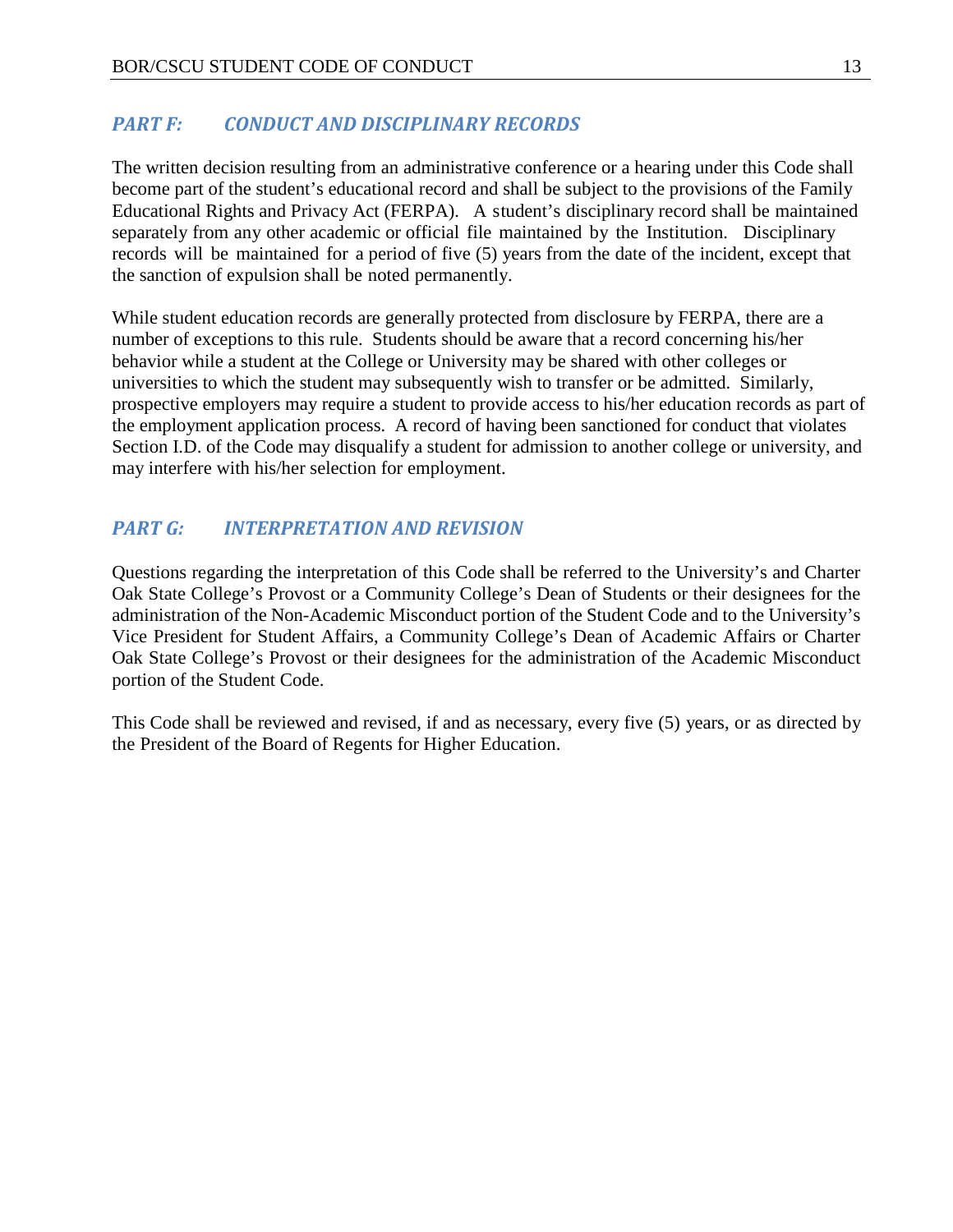#### <span id="page-13-0"></span>*PART F: CONDUCT AND DISCIPLINARY RECORDS*

The written decision resulting from an administrative conference or a hearing under this Code shall become part of the student's educational record and shall be subject to the provisions of the Family Educational Rights and Privacy Act (FERPA). A student's disciplinary record shall be maintained separately from any other academic or official file maintained by the Institution. Disciplinary records will be maintained for a period of five (5) years from the date of the incident, except that the sanction of expulsion shall be noted permanently.

While student education records are generally protected from disclosure by FERPA, there are a number of exceptions to this rule. Students should be aware that a record concerning his/her behavior while a student at the College or University may be shared with other colleges or universities to which the student may subsequently wish to transfer or be admitted. Similarly, prospective employers may require a student to provide access to his/her education records as part of the employment application process. A record of having been sanctioned for conduct that violates Section I.D. of the Code may disqualify a student for admission to another college or university, and may interfere with his/her selection for employment.

### <span id="page-13-1"></span>*PART G: INTERPRETATION AND REVISION*

Questions regarding the interpretation of this Code shall be referred to the University's and Charter Oak State College's Provost or a Community College's Dean of Students or their designees for the administration of the Non-Academic Misconduct portion of the Student Code and to the University's Vice President for Student Affairs, a Community College's Dean of Academic Affairs or Charter Oak State College's Provost or their designees for the administration of the Academic Misconduct portion of the Student Code.

This Code shall be reviewed and revised, if and as necessary, every five (5) years, or as directed by the President of the Board of Regents for Higher Education.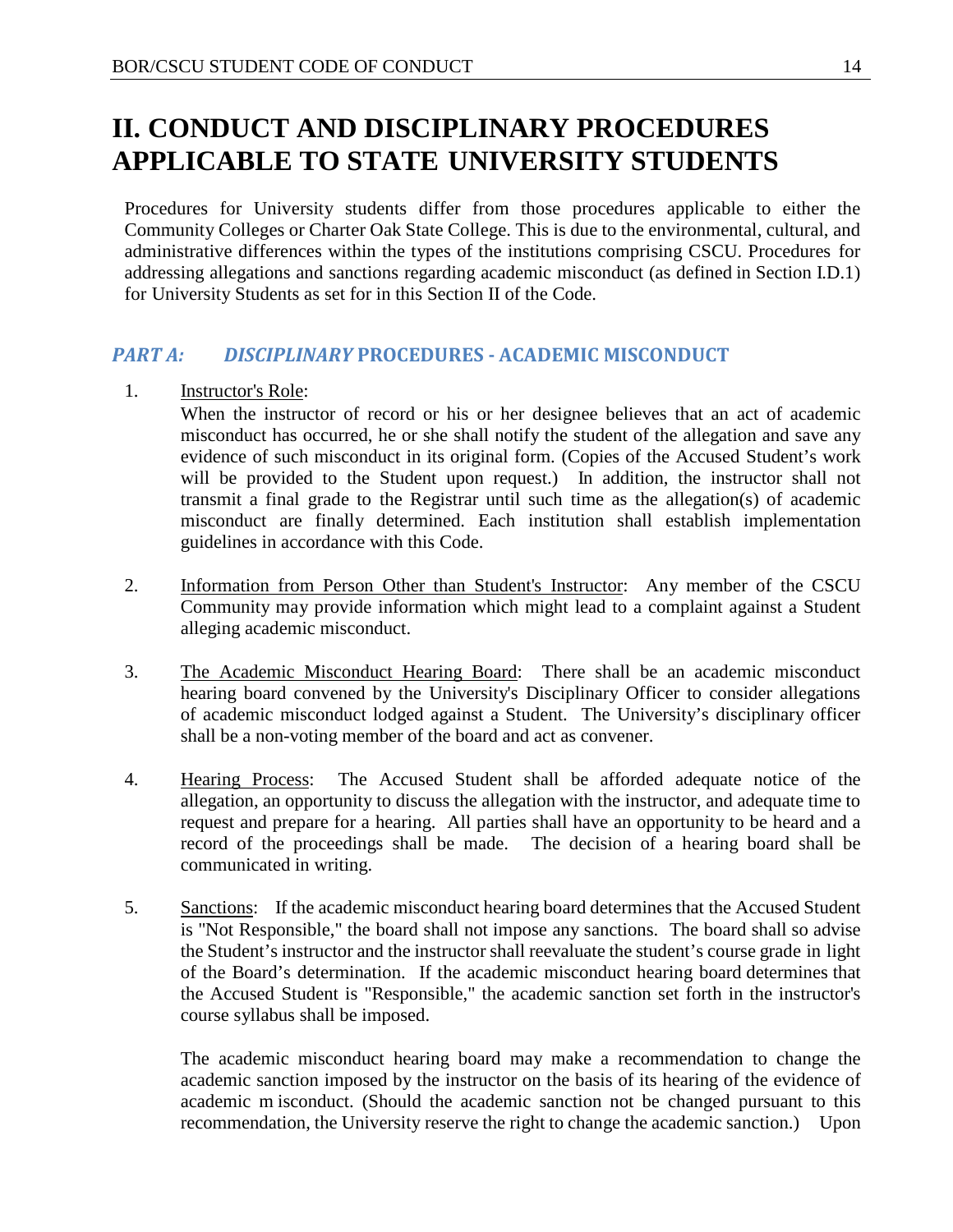# <span id="page-14-0"></span>**II. CONDUCT AND DISCIPLINARY PROCEDURES APPLICABLE TO STATE UNIVERSITY STUDENTS**

Procedures for University students differ from those procedures applicable to either the Community Colleges or Charter Oak State College. This is due to the environmental, cultural, and administrative differences within the types of the institutions comprising CSCU. Procedures for addressing allegations and sanctions regarding academic misconduct (as defined in Section I.D.1) for University Students as set for in this Section II of the Code.

#### <span id="page-14-1"></span>*PART A: DISCIPLINARY* **PROCEDURES - ACADEMIC MISCONDUCT**

1. Instructor's Role:

When the instructor of record or his or her designee believes that an act of academic misconduct has occurred, he or she shall notify the student of the allegation and save any evidence of such misconduct in its original form. (Copies of the Accused Student's work will be provided to the Student upon request.) In addition, the instructor shall not transmit a final grade to the Registrar until such time as the allegation(s) of academic misconduct are finally determined. Each institution shall establish implementation guidelines in accordance with this Code.

- 2. Information from Person Other than Student's Instructor: Any member of the CSCU Community may provide information which might lead to a complaint against a Student alleging academic misconduct.
- 3. The Academic Misconduct Hearing Board: There shall be an academic misconduct hearing board convened by the University's Disciplinary Officer to consider allegations of academic misconduct lodged against a Student. The University's disciplinary officer shall be a non-voting member of the board and act as convener.
- 4. Hearing Process: The Accused Student shall be afforded adequate notice of the allegation, an opportunity to discuss the allegation with the instructor, and adequate time to request and prepare for a hearing. All parties shall have an opportunity to be heard and a record of the proceedings shall be made. The decision of a hearing board shall be communicated in writing.
- 5. Sanctions: If the academic misconduct hearing board determines that the Accused Student is "Not Responsible," the board shall not impose any sanctions. The board shall so advise the Student's instructor and the instructor shall reevaluate the student's course grade in light of the Board's determination. If the academic misconduct hearing board determines that the Accused Student is "Responsible," the academic sanction set forth in the instructor's course syllabus shall be imposed.

The academic misconduct hearing board may make a recommendation to change the academic sanction imposed by the instructor on the basis of its hearing of the evidence of academic m isconduct. (Should the academic sanction not be changed pursuant to this recommendation, the University reserve the right to change the academic sanction.) Upon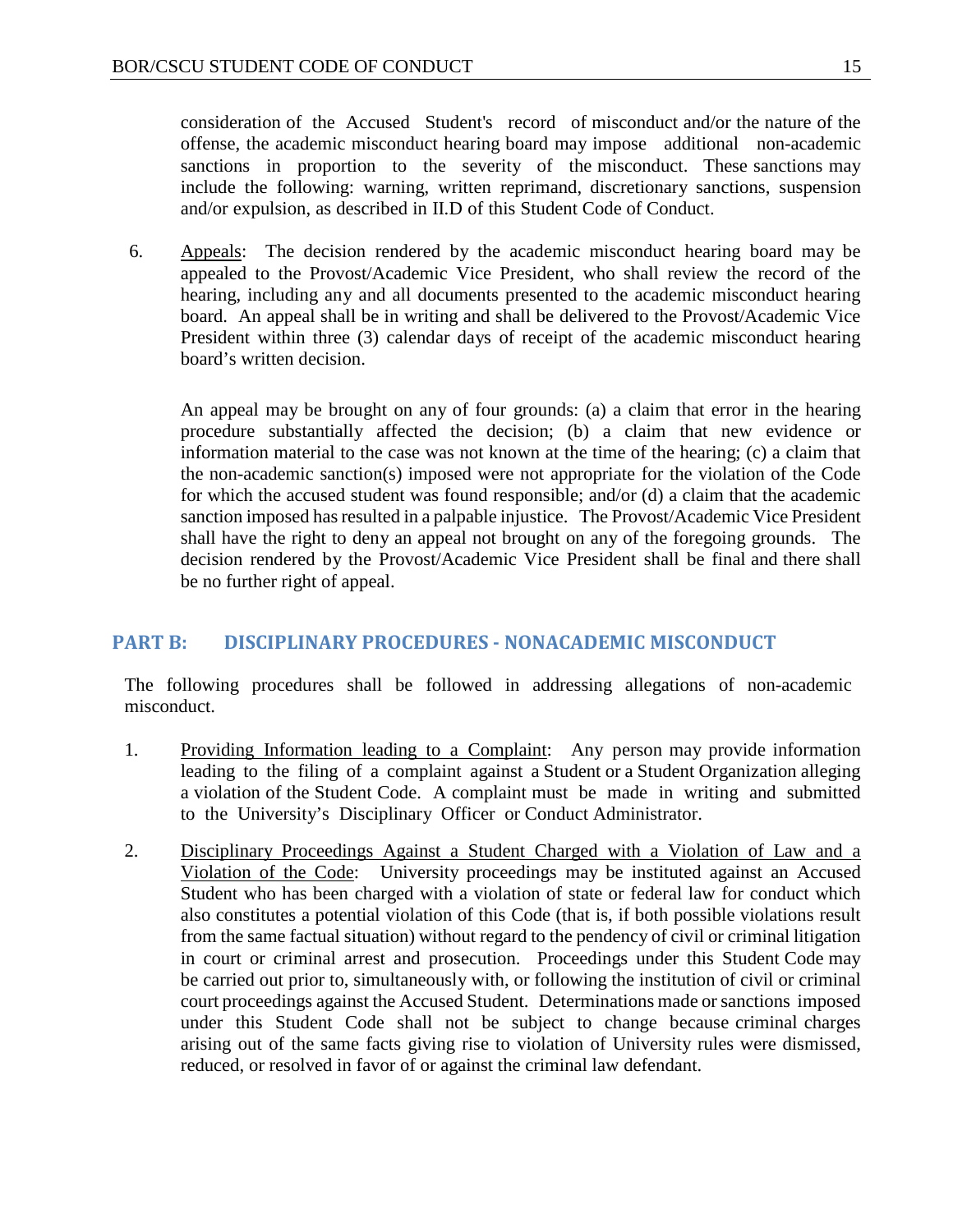consideration of the Accused Student's record of misconduct and/or the nature of the offense, the academic misconduct hearing board may impose additional non-academic sanctions in proportion to the severity of the misconduct. These sanctions may include the following: warning, written reprimand, discretionary sanctions, suspension and/or expulsion, as described in II.D of this Student Code of Conduct.

6. Appeals: The decision rendered by the academic misconduct hearing board may be appealed to the Provost/Academic Vice President, who shall review the record of the hearing, including any and all documents presented to the academic misconduct hearing board. An appeal shall be in writing and shall be delivered to the Provost/Academic Vice President within three (3) calendar days of receipt of the academic misconduct hearing board's written decision.

An appeal may be brought on any of four grounds: (a) a claim that error in the hearing procedure substantially affected the decision; (b) a claim that new evidence or information material to the case was not known at the time of the hearing; (c) a claim that the non-academic sanction(s) imposed were not appropriate for the violation of the Code for which the accused student was found responsible; and/or (d) a claim that the academic sanction imposed has resulted in a palpable injustice. The Provost/Academic Vice President shall have the right to deny an appeal not brought on any of the foregoing grounds. The decision rendered by the Provost/Academic Vice President shall be final and there shall be no further right of appeal.

#### <span id="page-15-0"></span>**PART B: DISCIPLINARY PROCEDURES - NONACADEMIC MISCONDUCT**

The following procedures shall be followed in addressing allegations of non-academic misconduct.

- 1. Providing Information leading to a Complaint: Any person may provide information leading to the filing of a complaint against a Student or a Student Organization alleging a violation of the Student Code. A complaint must be made in writing and submitted to the University's Disciplinary Officer or Conduct Administrator.
- 2. Disciplinary Proceedings Against a Student Charged with a Violation of Law and a Violation of the Code: University proceedings may be instituted against an Accused Student who has been charged with a violation of state or federal law for conduct which also constitutes a potential violation of this Code (that is, if both possible violations result from the same factual situation) without regard to the pendency of civil or criminal litigation in court or criminal arrest and prosecution. Proceedings under this Student Code may be carried out prior to, simultaneously with, or following the institution of civil or criminal court proceedings against the Accused Student. Determinations made or sanctions imposed under this Student Code shall not be subject to change because criminal charges arising out of the same facts giving rise to violation of University rules were dismissed, reduced, or resolved in favor of or against the criminal law defendant.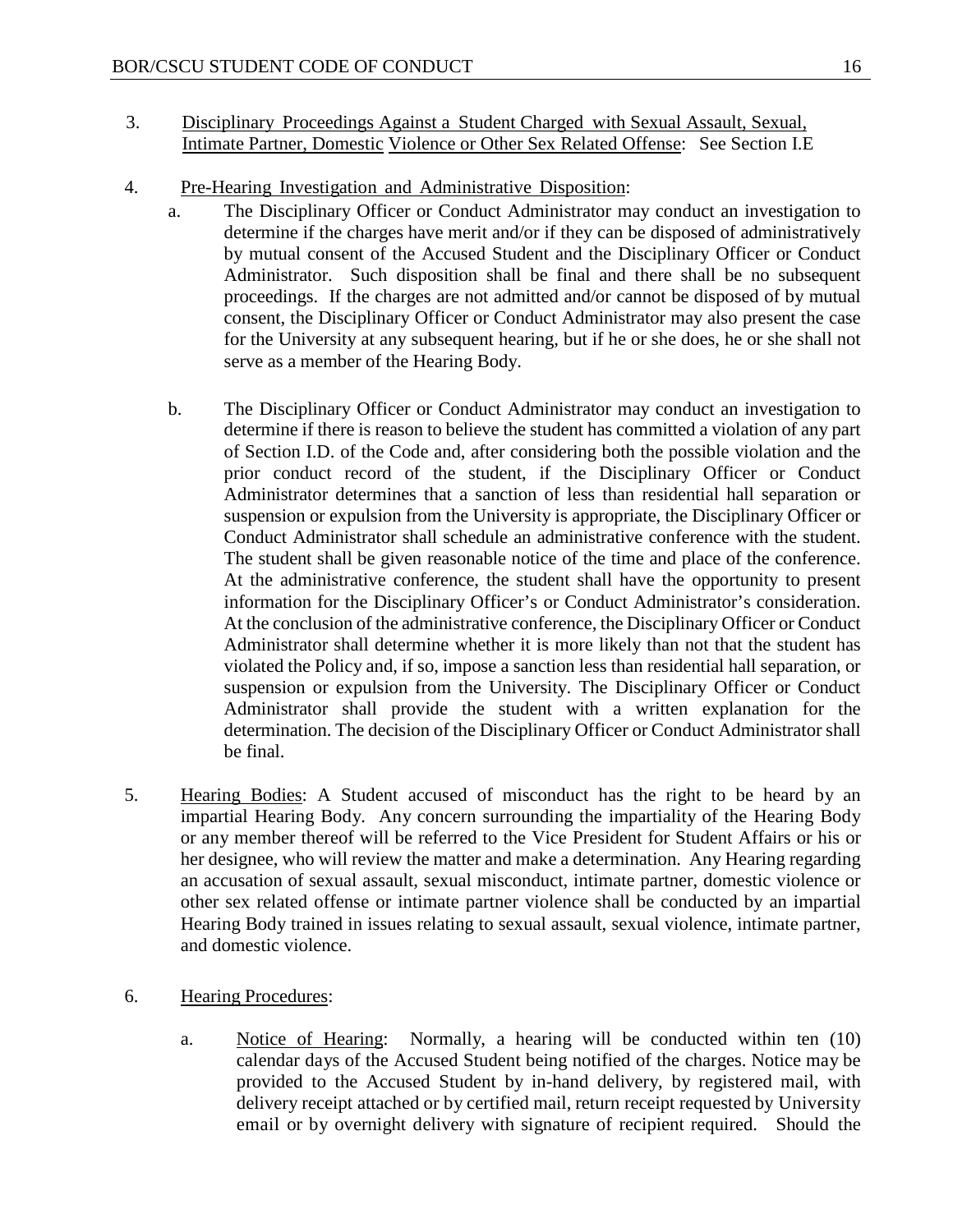- 3. Disciplinary Proceedings Against a Student Charged with Sexual Assault, Sexual, Intimate Partner, Domestic Violence or Other Sex Related Offense: See Section I.E
- 4. Pre-Hearing Investigation and Administrative Disposition:
	- a. The Disciplinary Officer or Conduct Administrator may conduct an investigation to determine if the charges have merit and/or if they can be disposed of administratively by mutual consent of the Accused Student and the Disciplinary Officer or Conduct Administrator. Such disposition shall be final and there shall be no subsequent proceedings. If the charges are not admitted and/or cannot be disposed of by mutual consent, the Disciplinary Officer or Conduct Administrator may also present the case for the University at any subsequent hearing, but if he or she does, he or she shall not serve as a member of the Hearing Body.
	- b. The Disciplinary Officer or Conduct Administrator may conduct an investigation to determine if there is reason to believe the student has committed a violation of any part of Section I.D. of the Code and, after considering both the possible violation and the prior conduct record of the student, if the Disciplinary Officer or Conduct Administrator determines that a sanction of less than residential hall separation or suspension or expulsion from the University is appropriate, the Disciplinary Officer or Conduct Administrator shall schedule an administrative conference with the student. The student shall be given reasonable notice of the time and place of the conference. At the administrative conference, the student shall have the opportunity to present information for the Disciplinary Officer's or Conduct Administrator's consideration. At the conclusion of the administrative conference, the Disciplinary Officer or Conduct Administrator shall determine whether it is more likely than not that the student has violated the Policy and, if so, impose a sanction less than residential hall separation, or suspension or expulsion from the University. The Disciplinary Officer or Conduct Administrator shall provide the student with a written explanation for the determination. The decision of the Disciplinary Officer or Conduct Administrator shall be final.
- 5. Hearing Bodies: A Student accused of misconduct has the right to be heard by an impartial Hearing Body. Any concern surrounding the impartiality of the Hearing Body or any member thereof will be referred to the Vice President for Student Affairs or his or her designee, who will review the matter and make a determination. Any Hearing regarding an accusation of sexual assault, sexual misconduct, intimate partner, domestic violence or other sex related offense or intimate partner violence shall be conducted by an impartial Hearing Body trained in issues relating to sexual assault, sexual violence, intimate partner, and domestic violence.
- 6. Hearing Procedures:
	- a. Notice of Hearing: Normally, a hearing will be conducted within ten (10) calendar days of the Accused Student being notified of the charges. Notice may be provided to the Accused Student by in-hand delivery, by registered mail, with delivery receipt attached or by certified mail, return receipt requested by University email or by overnight delivery with signature of recipient required. Should the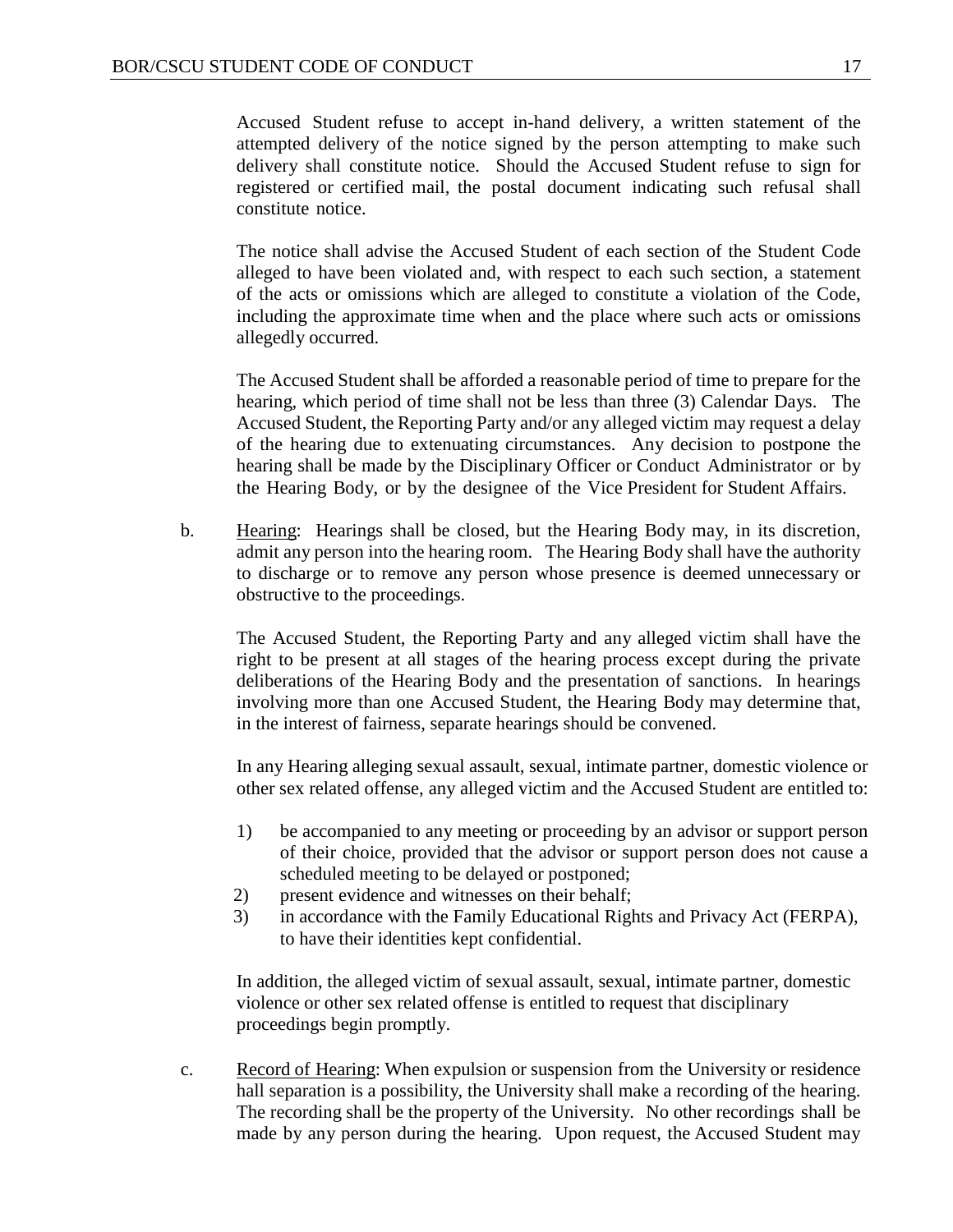Accused Student refuse to accept in-hand delivery, a written statement of the attempted delivery of the notice signed by the person attempting to make such delivery shall constitute notice. Should the Accused Student refuse to sign for registered or certified mail, the postal document indicating such refusal shall constitute notice.

The notice shall advise the Accused Student of each section of the Student Code alleged to have been violated and, with respect to each such section, a statement of the acts or omissions which are alleged to constitute a violation of the Code, including the approximate time when and the place where such acts or omissions allegedly occurred.

The Accused Student shall be afforded a reasonable period of time to prepare for the hearing, which period of time shall not be less than three (3) Calendar Days. The Accused Student, the Reporting Party and/or any alleged victim may request a delay of the hearing due to extenuating circumstances. Any decision to postpone the hearing shall be made by the Disciplinary Officer or Conduct Administrator or by the Hearing Body, or by the designee of the Vice President for Student Affairs.

b. Hearing: Hearings shall be closed, but the Hearing Body may, in its discretion, admit any person into the hearing room. The Hearing Body shall have the authority to discharge or to remove any person whose presence is deemed unnecessary or obstructive to the proceedings.

The Accused Student, the Reporting Party and any alleged victim shall have the right to be present at all stages of the hearing process except during the private deliberations of the Hearing Body and the presentation of sanctions. In hearings involving more than one Accused Student, the Hearing Body may determine that, in the interest of fairness, separate hearings should be convened.

In any Hearing alleging sexual assault, sexual, intimate partner, domestic violence or other sex related offense, any alleged victim and the Accused Student are entitled to:

- 1) be accompanied to any meeting or proceeding by an advisor or support person of their choice, provided that the advisor or support person does not cause a scheduled meeting to be delayed or postponed;
- 2) present evidence and witnesses on their behalf;
- 3) in accordance with the Family Educational Rights and Privacy Act (FERPA), to have their identities kept confidential.

In addition, the alleged victim of sexual assault, sexual, intimate partner, domestic violence or other sex related offense is entitled to request that disciplinary proceedings begin promptly.

c. Record of Hearing: When expulsion or suspension from the University or residence hall separation is a possibility, the University shall make a recording of the hearing. The recording shall be the property of the University. No other recordings shall be made by any person during the hearing. Upon request, the Accused Student may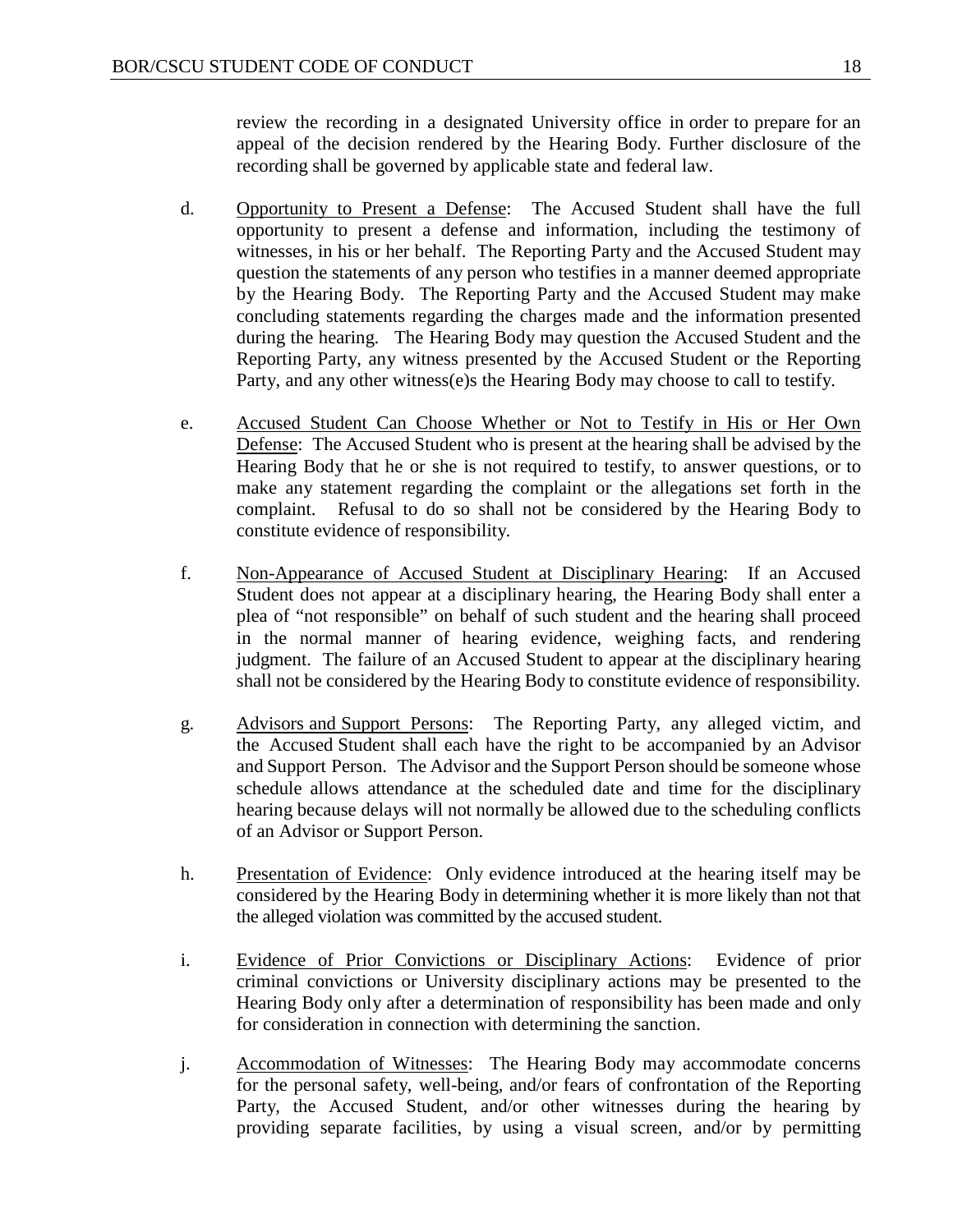review the recording in a designated University office in order to prepare for an appeal of the decision rendered by the Hearing Body. Further disclosure of the recording shall be governed by applicable state and federal law.

- d. Opportunity to Present a Defense: The Accused Student shall have the full opportunity to present a defense and information, including the testimony of witnesses, in his or her behalf. The Reporting Party and the Accused Student may question the statements of any person who testifies in a manner deemed appropriate by the Hearing Body. The Reporting Party and the Accused Student may make concluding statements regarding the charges made and the information presented during the hearing. The Hearing Body may question the Accused Student and the Reporting Party, any witness presented by the Accused Student or the Reporting Party, and any other witness(e)s the Hearing Body may choose to call to testify.
- e. Accused Student Can Choose Whether or Not to Testify in His or Her Own Defense: The Accused Student who is present at the hearing shall be advised by the Hearing Body that he or she is not required to testify, to answer questions, or to make any statement regarding the complaint or the allegations set forth in the complaint. Refusal to do so shall not be considered by the Hearing Body to constitute evidence of responsibility.
- f. Non-Appearance of Accused Student at Disciplinary Hearing: If an Accused Student does not appear at a disciplinary hearing, the Hearing Body shall enter a plea of "not responsible" on behalf of such student and the hearing shall proceed in the normal manner of hearing evidence, weighing facts, and rendering judgment. The failure of an Accused Student to appear at the disciplinary hearing shall not be considered by the Hearing Body to constitute evidence of responsibility.
- g. Advisors and Support Persons: The Reporting Party, any alleged victim, and the Accused Student shall each have the right to be accompanied by an Advisor and Support Person. The Advisor and the Support Person should be someone whose schedule allows attendance at the scheduled date and time for the disciplinary hearing because delays will not normally be allowed due to the scheduling conflicts of an Advisor or Support Person.
- h. Presentation of Evidence: Only evidence introduced at the hearing itself may be considered by the Hearing Body in determining whether it is more likely than not that the alleged violation was committed by the accused student.
- i. Evidence of Prior Convictions or Disciplinary Actions: Evidence of prior criminal convictions or University disciplinary actions may be presented to the Hearing Body only after a determination of responsibility has been made and only for consideration in connection with determining the sanction.
- j. Accommodation of Witnesses: The Hearing Body may accommodate concerns for the personal safety, well-being, and/or fears of confrontation of the Reporting Party, the Accused Student, and/or other witnesses during the hearing by providing separate facilities, by using a visual screen, and/or by permitting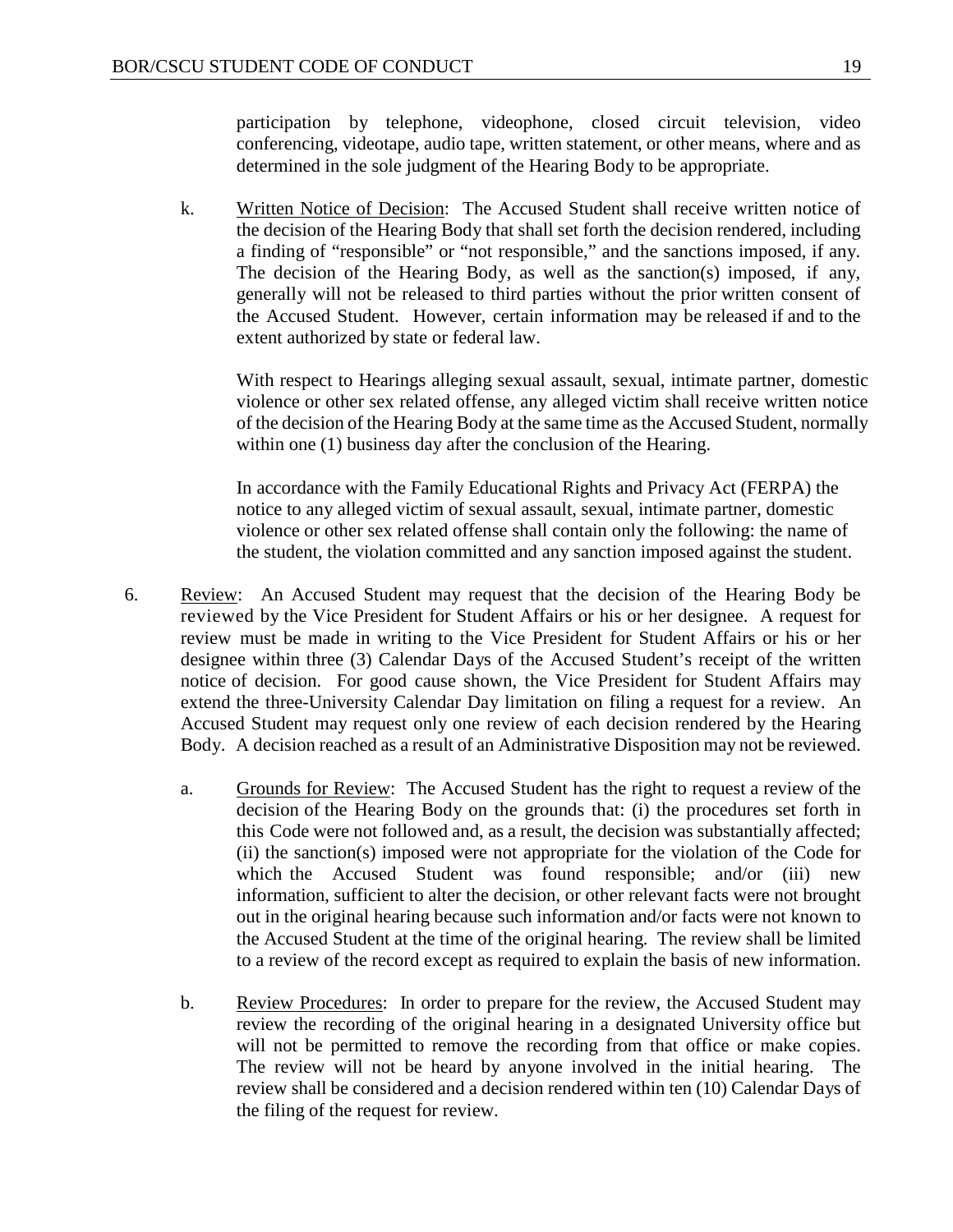participation by telephone, videophone, closed circuit television, video conferencing, videotape, audio tape, written statement, or other means, where and as determined in the sole judgment of the Hearing Body to be appropriate.

k. Written Notice of Decision: The Accused Student shall receive written notice of the decision of the Hearing Body that shall set forth the decision rendered, including a finding of "responsible" or "not responsible," and the sanctions imposed, if any. The decision of the Hearing Body, as well as the sanction(s) imposed, if any, generally will not be released to third parties without the prior written consent of the Accused Student. However, certain information may be released if and to the extent authorized by state or federal law.

With respect to Hearings alleging sexual assault, sexual, intimate partner, domestic violence or other sex related offense, any alleged victim shall receive written notice of the decision of the Hearing Body at the same time as the Accused Student, normally within one (1) business day after the conclusion of the Hearing.

In accordance with the Family Educational Rights and Privacy Act (FERPA) the notice to any alleged victim of sexual assault, sexual, intimate partner, domestic violence or other sex related offense shall contain only the following: the name of the student, the violation committed and any sanction imposed against the student.

- 6. Review: An Accused Student may request that the decision of the Hearing Body be reviewed by the Vice President for Student Affairs or his or her designee. A request for review must be made in writing to the Vice President for Student Affairs or his or her designee within three (3) Calendar Days of the Accused Student's receipt of the written notice of decision. For good cause shown, the Vice President for Student Affairs may extend the three-University Calendar Day limitation on filing a request for a review. An Accused Student may request only one review of each decision rendered by the Hearing Body. A decision reached as a result of an Administrative Disposition may not be reviewed.
	- a. Grounds for Review: The Accused Student has the right to request a review of the decision of the Hearing Body on the grounds that: (i) the procedures set forth in this Code were not followed and, as a result, the decision was substantially affected; (ii) the sanction(s) imposed were not appropriate for the violation of the Code for which the Accused Student was found responsible; and/or (iii) new information, sufficient to alter the decision, or other relevant facts were not brought out in the original hearing because such information and/or facts were not known to the Accused Student at the time of the original hearing. The review shall be limited to a review of the record except as required to explain the basis of new information.
	- b. Review Procedures: In order to prepare for the review, the Accused Student may review the recording of the original hearing in a designated University office but will not be permitted to remove the recording from that office or make copies. The review will not be heard by anyone involved in the initial hearing. The review shall be considered and a decision rendered within ten (10) Calendar Days of the filing of the request for review.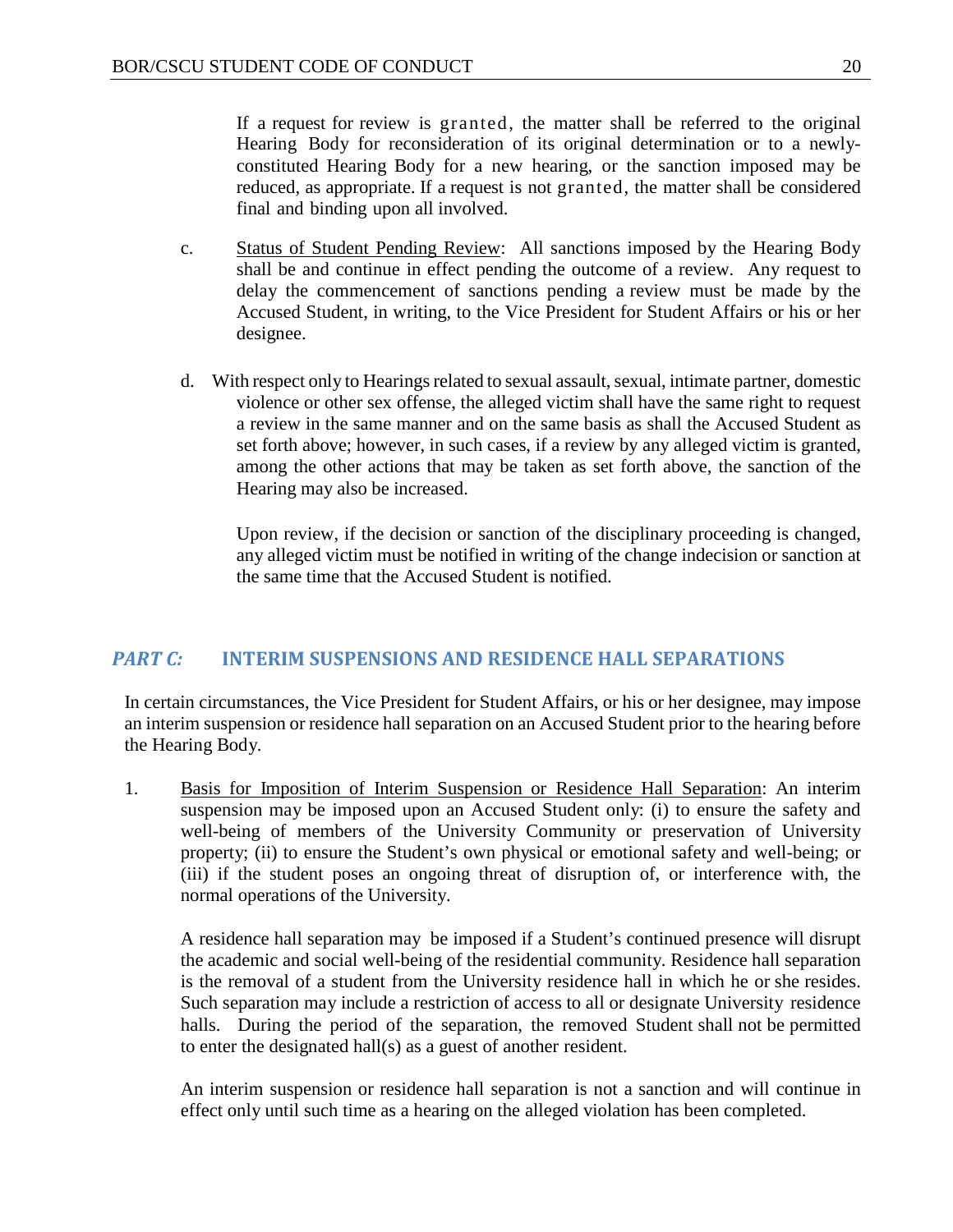If a request for review is granted, the matter shall be referred to the original Hearing Body for reconsideration of its original determination or to a newlyconstituted Hearing Body for a new hearing, or the sanction imposed may be reduced, as appropriate. If a request is not granted, the matter shall be considered final and binding upon all involved.

- c. Status of Student Pending Review: All sanctions imposed by the Hearing Body shall be and continue in effect pending the outcome of a review. Any request to delay the commencement of sanctions pending a review must be made by the Accused Student, in writing, to the Vice President for Student Affairs or his or her designee.
- d. With respect only to Hearings related to sexual assault, sexual, intimate partner, domestic violence or other sex offense, the alleged victim shall have the same right to request a review in the same manner and on the same basis as shall the Accused Student as set forth above; however, in such cases, if a review by any alleged victim is granted, among the other actions that may be taken as set forth above, the sanction of the Hearing may also be increased.

Upon review, if the decision or sanction of the disciplinary proceeding is changed, any alleged victim must be notified in writing of the change indecision or sanction at the same time that the Accused Student is notified.

#### <span id="page-20-0"></span>*PART C:* **INTERIM SUSPENSIONS AND RESIDENCE HALL SEPARATIONS**

In certain circumstances, the Vice President for Student Affairs, or his or her designee, may impose an interim suspension or residence hall separation on an Accused Student prior to the hearing before the Hearing Body.

1. Basis for Imposition of Interim Suspension or Residence Hall Separation: An interim suspension may be imposed upon an Accused Student only: (i) to ensure the safety and well-being of members of the University Community or preservation of University property; (ii) to ensure the Student's own physical or emotional safety and well-being; or (iii) if the student poses an ongoing threat of disruption of, or interference with, the normal operations of the University.

A residence hall separation may be imposed if a Student's continued presence will disrupt the academic and social well-being of the residential community. Residence hall separation is the removal of a student from the University residence hall in which he or she resides. Such separation may include a restriction of access to all or designate University residence halls. During the period of the separation, the removed Student shall not be permitted to enter the designated hall(s) as a guest of another resident.

An interim suspension or residence hall separation is not a sanction and will continue in effect only until such time as a hearing on the alleged violation has been completed.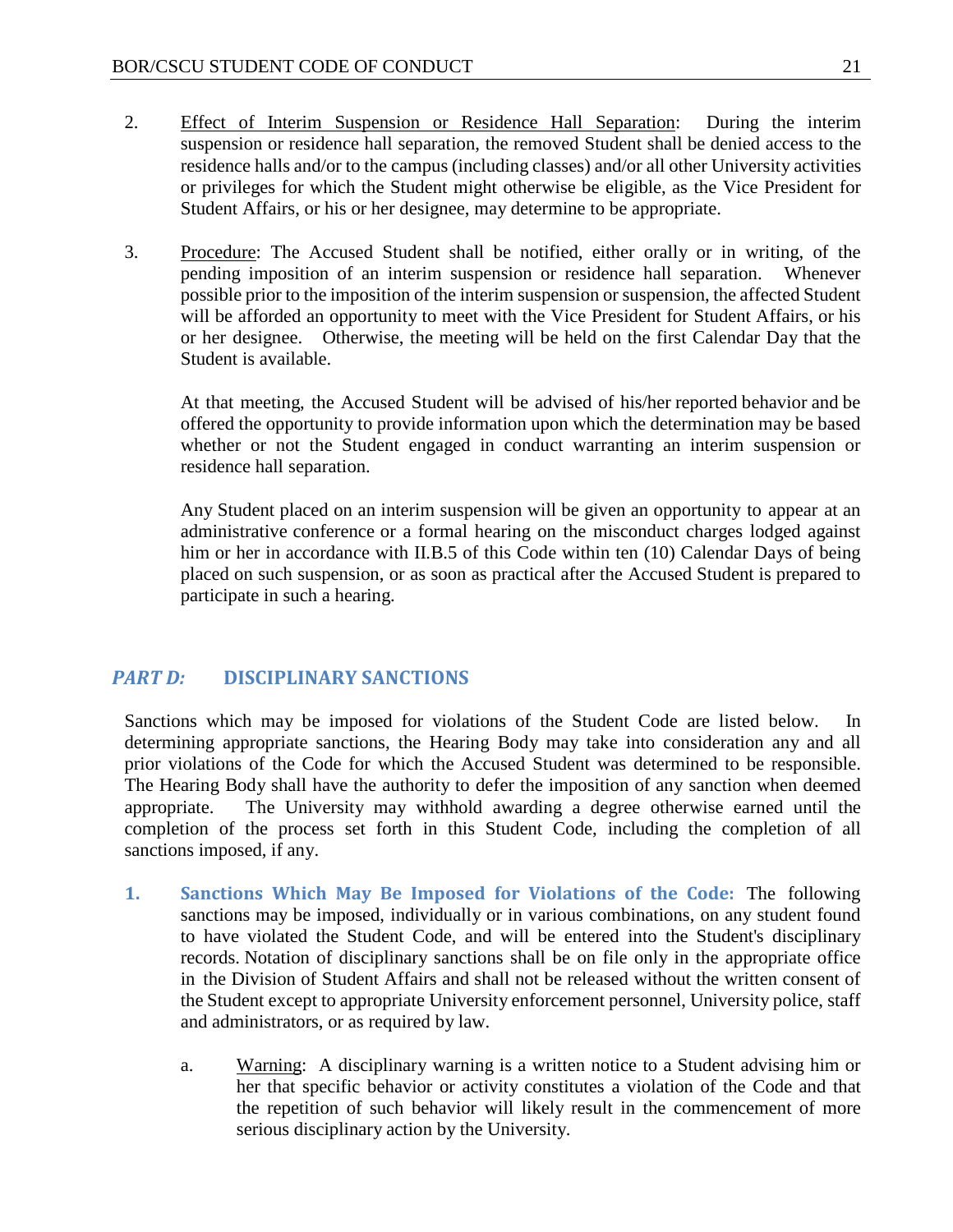- 2. Effect of Interim Suspension or Residence Hall Separation: During the interim suspension or residence hall separation, the removed Student shall be denied access to the residence halls and/or to the campus (including classes) and/or all other University activities or privileges for which the Student might otherwise be eligible, as the Vice President for Student Affairs, or his or her designee, may determine to be appropriate.
- 3. Procedure: The Accused Student shall be notified, either orally or in writing, of the pending imposition of an interim suspension or residence hall separation. Whenever possible prior to the imposition of the interim suspension or suspension, the affected Student will be afforded an opportunity to meet with the Vice President for Student Affairs, or his or her designee. Otherwise, the meeting will be held on the first Calendar Day that the Student is available.

At that meeting, the Accused Student will be advised of his/her reported behavior and be offered the opportunity to provide information upon which the determination may be based whether or not the Student engaged in conduct warranting an interim suspension or residence hall separation.

Any Student placed on an interim suspension will be given an opportunity to appear at an administrative conference or a formal hearing on the misconduct charges lodged against him or her in accordance with II.B.5 of this Code within ten (10) Calendar Days of being placed on such suspension, or as soon as practical after the Accused Student is prepared to participate in such a hearing.

### <span id="page-21-0"></span>*PART D:* **DISCIPLINARY SANCTIONS**

Sanctions which may be imposed for violations of the Student Code are listed below. In determining appropriate sanctions, the Hearing Body may take into consideration any and all prior violations of the Code for which the Accused Student was determined to be responsible. The Hearing Body shall have the authority to defer the imposition of any sanction when deemed appropriate. The University may withhold awarding a degree otherwise earned until the completion of the process set forth in this Student Code, including the completion of all sanctions imposed, if any.

- <span id="page-21-1"></span>**1. Sanctions Which May Be Imposed for Violations of the Code:** The following sanctions may be imposed, individually or in various combinations, on any student found to have violated the Student Code, and will be entered into the Student's disciplinary records. Notation of disciplinary sanctions shall be on file only in the appropriate office in the Division of Student Affairs and shall not be released without the written consent of the Student except to appropriate University enforcement personnel, University police, staff and administrators, or as required by law.
	- a. Warning: A disciplinary warning is a written notice to a Student advising him or her that specific behavior or activity constitutes a violation of the Code and that the repetition of such behavior will likely result in the commencement of more serious disciplinary action by the University.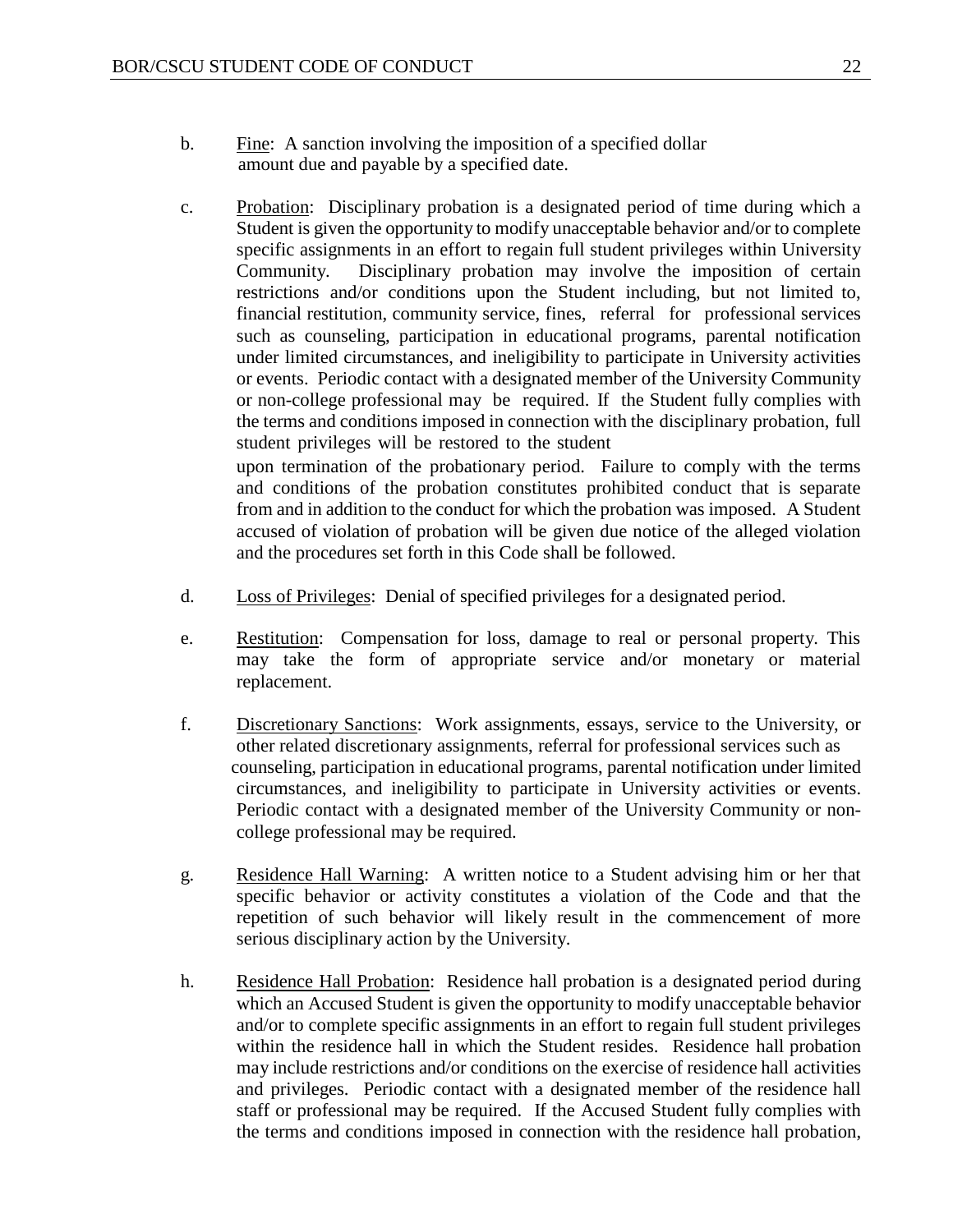- b. Fine: A sanction involving the imposition of a specified dollar amount due and payable by a specified date.
- c. Probation: Disciplinary probation is a designated period of time during which a Student is given the opportunity to modify unacceptable behavior and/or to complete specific assignments in an effort to regain full student privileges within University Community. Disciplinary probation may involve the imposition of certain restrictions and/or conditions upon the Student including, but not limited to, financial restitution, community service, fines, referral for professional services such as counseling, participation in educational programs, parental notification under limited circumstances, and ineligibility to participate in University activities or events. Periodic contact with a designated member of the University Community or non-college professional may be required. If the Student fully complies with the terms and conditions imposed in connection with the disciplinary probation, full student privileges will be restored to the student upon termination of the probationary period. Failure to comply with the terms

and conditions of the probation constitutes prohibited conduct that is separate from and in addition to the conduct for which the probation was imposed. A Student accused of violation of probation will be given due notice of the alleged violation and the procedures set forth in this Code shall be followed.

- d. Loss of Privileges: Denial of specified privileges for a designated period.
- e. Restitution: Compensation for loss, damage to real or personal property. This may take the form of appropriate service and/or monetary or material replacement.
- f. Discretionary Sanctions: Work assignments, essays, service to the University, or other related discretionary assignments, referral for professional services such as counseling, participation in educational programs, parental notification under limited circumstances, and ineligibility to participate in University activities or events. Periodic contact with a designated member of the University Community or noncollege professional may be required.
- g. Residence Hall Warning: A written notice to a Student advising him or her that specific behavior or activity constitutes a violation of the Code and that the repetition of such behavior will likely result in the commencement of more serious disciplinary action by the University.
- h. Residence Hall Probation: Residence hall probation is a designated period during which an Accused Student is given the opportunity to modify unacceptable behavior and/or to complete specific assignments in an effort to regain full student privileges within the residence hall in which the Student resides. Residence hall probation may include restrictions and/or conditions on the exercise of residence hall activities and privileges. Periodic contact with a designated member of the residence hall staff or professional may be required. If the Accused Student fully complies with the terms and conditions imposed in connection with the residence hall probation,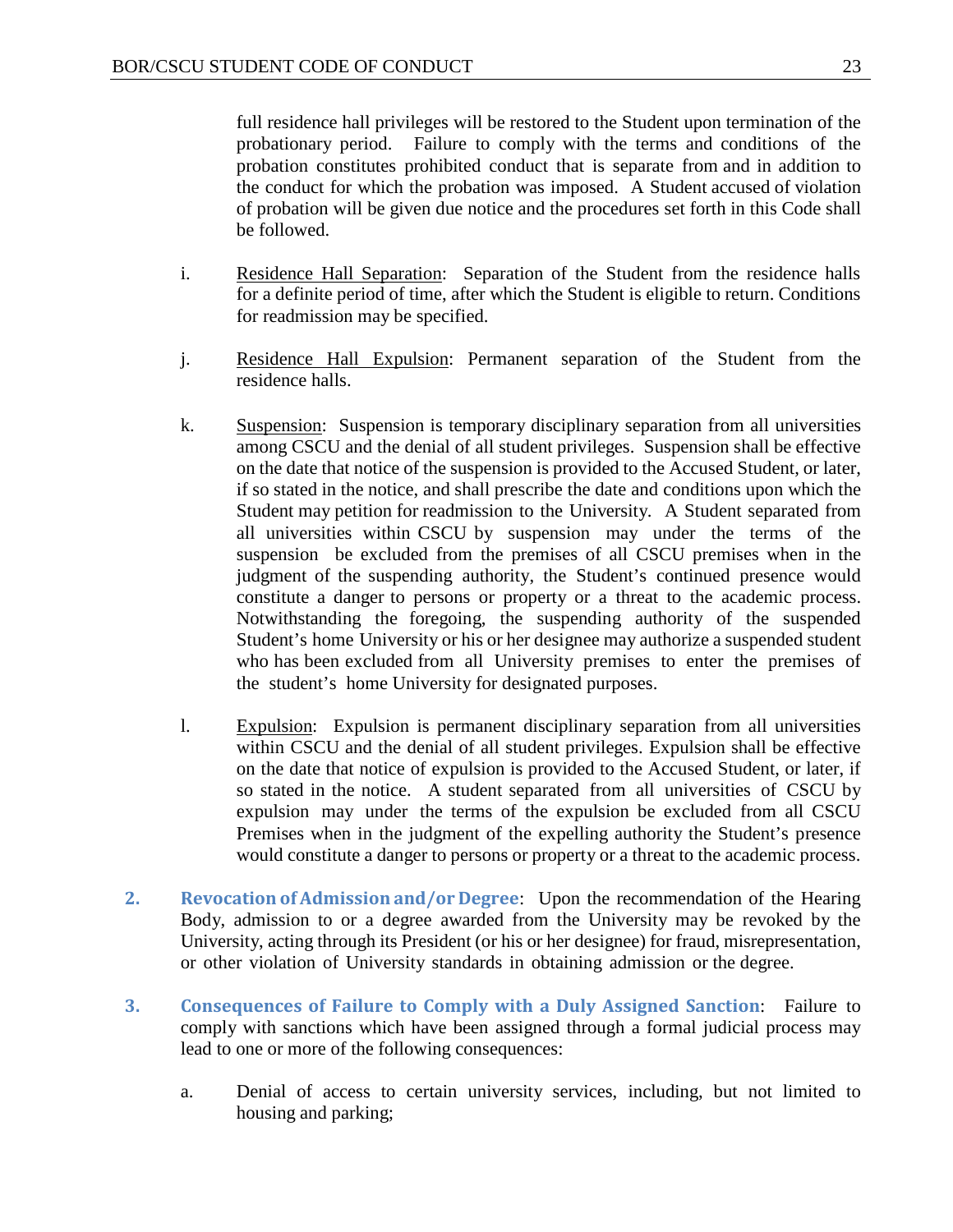full residence hall privileges will be restored to the Student upon termination of the probationary period. Failure to comply with the terms and conditions of the probation constitutes prohibited conduct that is separate from and in addition to the conduct for which the probation was imposed. A Student accused of violation of probation will be given due notice and the procedures set forth in this Code shall be followed.

- i. Residence Hall Separation: Separation of the Student from the residence halls for a definite period of time, after which the Student is eligible to return. Conditions for readmission may be specified.
- j. Residence Hall Expulsion: Permanent separation of the Student from the residence halls.
- k. Suspension: Suspension is temporary disciplinary separation from all universities among CSCU and the denial of all student privileges. Suspension shall be effective on the date that notice of the suspension is provided to the Accused Student, or later, if so stated in the notice, and shall prescribe the date and conditions upon which the Student may petition for readmission to the University. A Student separated from all universities within CSCU by suspension may under the terms of the suspension be excluded from the premises of all CSCU premises when in the judgment of the suspending authority, the Student's continued presence would constitute a danger to persons or property or a threat to the academic process. Notwithstanding the foregoing, the suspending authority of the suspended Student's home University or his or her designee may authorize a suspended student who has been excluded from all University premises to enter the premises of the student's home University for designated purposes.
- l. Expulsion: Expulsion is permanent disciplinary separation from all universities within CSCU and the denial of all student privileges. Expulsion shall be effective on the date that notice of expulsion is provided to the Accused Student, or later, if so stated in the notice. A student separated from all universities of CSCU by expulsion may under the terms of the expulsion be excluded from all CSCU Premises when in the judgment of the expelling authority the Student's presence would constitute a danger to persons or property or a threat to the academic process.
- <span id="page-23-0"></span>**2. Revocation of Admission and/or Degree**: Upon the recommendation of the Hearing Body, admission to or a degree awarded from the University may be revoked by the University, acting through its President (or his or her designee) for fraud, misrepresentation, or other violation of University standards in obtaining admission or the degree.
- <span id="page-23-1"></span>**3. Consequences of Failure to Comply with a Duly Assigned Sanction**: Failure to comply with sanctions which have been assigned through a formal judicial process may lead to one or more of the following consequences:
	- a. Denial of access to certain university services, including, but not limited to housing and parking;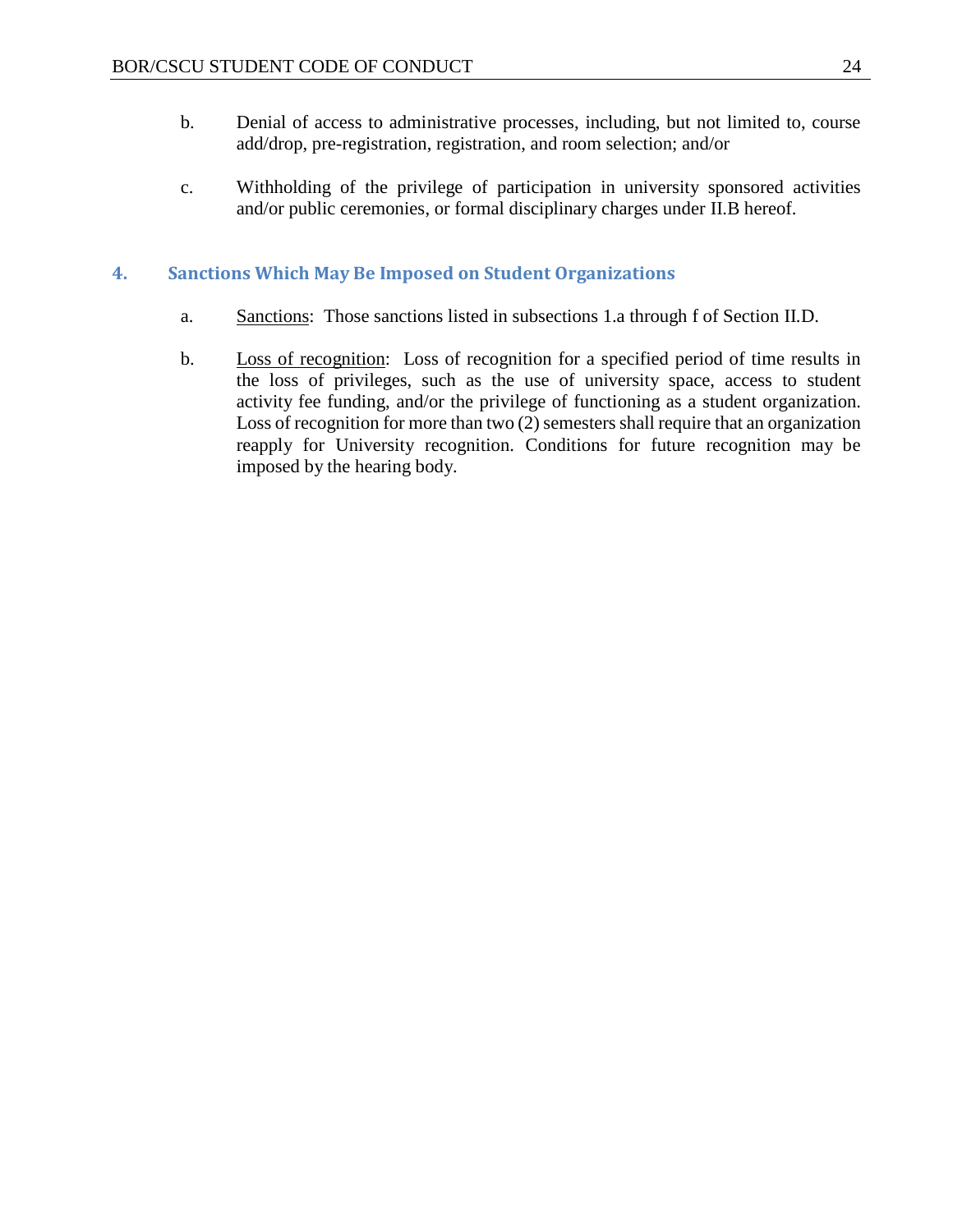- b. Denial of access to administrative processes, including, but not limited to, course add/drop, pre-registration, registration, and room selection; and/or
- c. Withholding of the privilege of participation in university sponsored activities and/or public ceremonies, or formal disciplinary charges under II.B hereof.

#### <span id="page-24-0"></span>**4. Sanctions Which May Be Imposed on Student Organizations**

- a. Sanctions: Those sanctions listed in subsections 1.a through f of Section II.D.
- b. Loss of recognition: Loss of recognition for a specified period of time results in the loss of privileges, such as the use of university space, access to student activity fee funding, and/or the privilege of functioning as a student organization. Loss of recognition for more than two  $(2)$  semesters shall require that an organization reapply for University recognition. Conditions for future recognition may be imposed by the hearing body.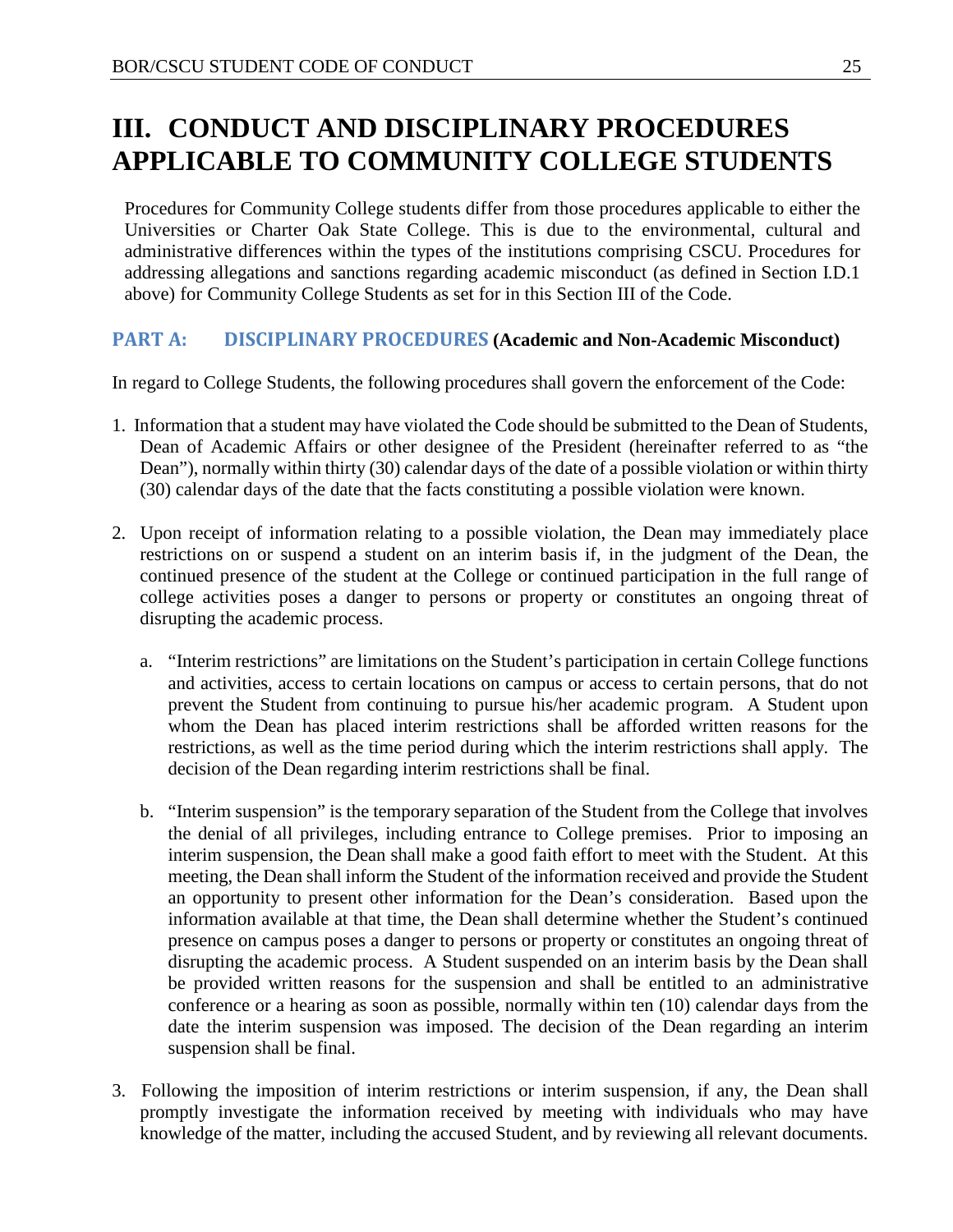# <span id="page-25-0"></span>**III. CONDUCT AND DISCIPLINARY PROCEDURES APPLICABLE TO COMMUNITY COLLEGE STUDENTS**

Procedures for Community College students differ from those procedures applicable to either the Universities or Charter Oak State College. This is due to the environmental, cultural and administrative differences within the types of the institutions comprising CSCU. Procedures for addressing allegations and sanctions regarding academic misconduct (as defined in Section I.D.1 above) for Community College Students as set for in this Section III of the Code.

#### <span id="page-25-1"></span>**PART A: DISCIPLINARY PROCEDURES (Academic and Non-Academic Misconduct)**

In regard to College Students, the following procedures shall govern the enforcement of the Code:

- 1. Information that a student may have violated the Code should be submitted to the Dean of Students, Dean of Academic Affairs or other designee of the President (hereinafter referred to as "the Dean"), normally within thirty (30) calendar days of the date of a possible violation or within thirty (30) calendar days of the date that the facts constituting a possible violation were known.
- 2. Upon receipt of information relating to a possible violation, the Dean may immediately place restrictions on or suspend a student on an interim basis if, in the judgment of the Dean, the continued presence of the student at the College or continued participation in the full range of college activities poses a danger to persons or property or constitutes an ongoing threat of disrupting the academic process.
	- a. "Interim restrictions" are limitations on the Student's participation in certain College functions and activities, access to certain locations on campus or access to certain persons, that do not prevent the Student from continuing to pursue his/her academic program. A Student upon whom the Dean has placed interim restrictions shall be afforded written reasons for the restrictions, as well as the time period during which the interim restrictions shall apply. The decision of the Dean regarding interim restrictions shall be final.
	- b. "Interim suspension" is the temporary separation of the Student from the College that involves the denial of all privileges, including entrance to College premises. Prior to imposing an interim suspension, the Dean shall make a good faith effort to meet with the Student. At this meeting, the Dean shall inform the Student of the information received and provide the Student an opportunity to present other information for the Dean's consideration. Based upon the information available at that time, the Dean shall determine whether the Student's continued presence on campus poses a danger to persons or property or constitutes an ongoing threat of disrupting the academic process. A Student suspended on an interim basis by the Dean shall be provided written reasons for the suspension and shall be entitled to an administrative conference or a hearing as soon as possible, normally within ten (10) calendar days from the date the interim suspension was imposed. The decision of the Dean regarding an interim suspension shall be final.
- 3. Following the imposition of interim restrictions or interim suspension, if any, the Dean shall promptly investigate the information received by meeting with individuals who may have knowledge of the matter, including the accused Student, and by reviewing all relevant documents.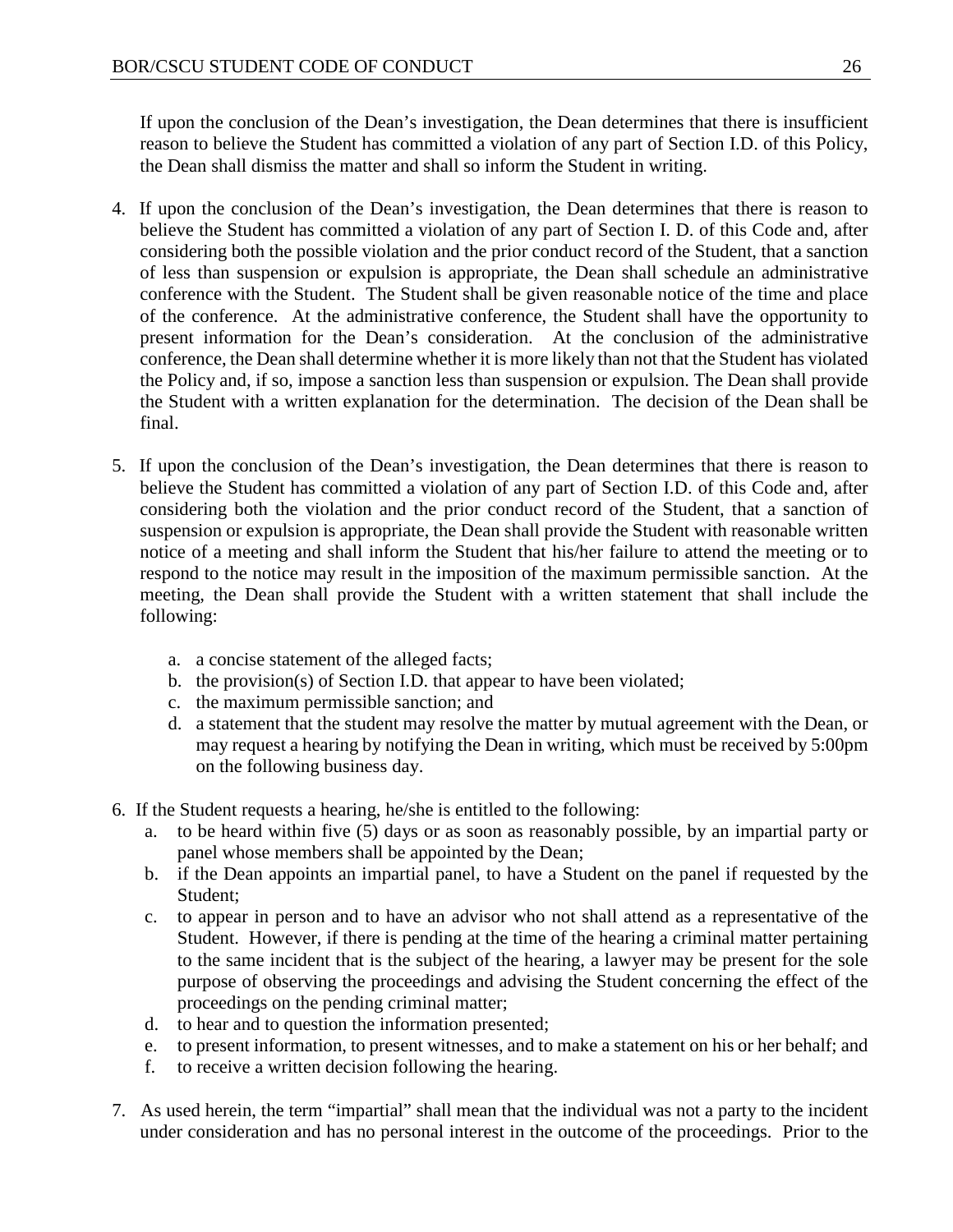If upon the conclusion of the Dean's investigation, the Dean determines that there is insufficient reason to believe the Student has committed a violation of any part of Section I.D. of this Policy, the Dean shall dismiss the matter and shall so inform the Student in writing.

- 4. If upon the conclusion of the Dean's investigation, the Dean determines that there is reason to believe the Student has committed a violation of any part of Section I. D. of this Code and, after considering both the possible violation and the prior conduct record of the Student, that a sanction of less than suspension or expulsion is appropriate, the Dean shall schedule an administrative conference with the Student. The Student shall be given reasonable notice of the time and place of the conference. At the administrative conference, the Student shall have the opportunity to present information for the Dean's consideration. At the conclusion of the administrative conference, the Dean shall determine whether it is more likely than not that the Student has violated the Policy and, if so, impose a sanction less than suspension or expulsion. The Dean shall provide the Student with a written explanation for the determination. The decision of the Dean shall be final.
- 5. If upon the conclusion of the Dean's investigation, the Dean determines that there is reason to believe the Student has committed a violation of any part of Section I.D. of this Code and, after considering both the violation and the prior conduct record of the Student, that a sanction of suspension or expulsion is appropriate, the Dean shall provide the Student with reasonable written notice of a meeting and shall inform the Student that his/her failure to attend the meeting or to respond to the notice may result in the imposition of the maximum permissible sanction. At the meeting, the Dean shall provide the Student with a written statement that shall include the following:
	- a. a concise statement of the alleged facts;
	- b. the provision(s) of Section I.D. that appear to have been violated;
	- c. the maximum permissible sanction; and
	- d. a statement that the student may resolve the matter by mutual agreement with the Dean, or may request a hearing by notifying the Dean in writing, which must be received by 5:00pm on the following business day.
- 6. If the Student requests a hearing, he/she is entitled to the following:
	- a. to be heard within five (5) days or as soon as reasonably possible, by an impartial party or panel whose members shall be appointed by the Dean;
	- b. if the Dean appoints an impartial panel, to have a Student on the panel if requested by the Student;
	- c. to appear in person and to have an advisor who not shall attend as a representative of the Student. However, if there is pending at the time of the hearing a criminal matter pertaining to the same incident that is the subject of the hearing, a lawyer may be present for the sole purpose of observing the proceedings and advising the Student concerning the effect of the proceedings on the pending criminal matter;
	- d. to hear and to question the information presented;
	- e. to present information, to present witnesses, and to make a statement on his or her behalf; and
	- f. to receive a written decision following the hearing.
- 7. As used herein, the term "impartial" shall mean that the individual was not a party to the incident under consideration and has no personal interest in the outcome of the proceedings. Prior to the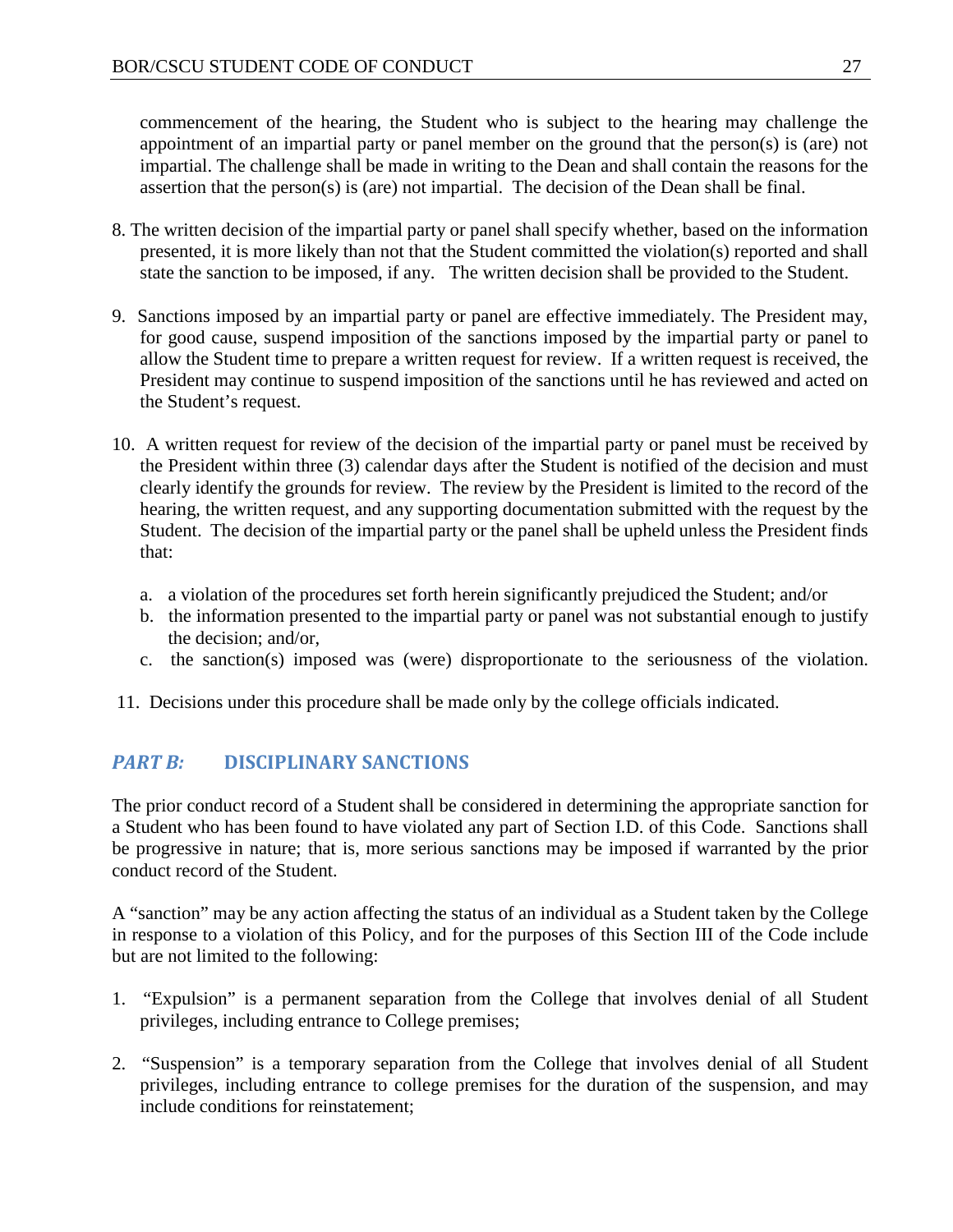commencement of the hearing, the Student who is subject to the hearing may challenge the appointment of an impartial party or panel member on the ground that the person(s) is (are) not impartial. The challenge shall be made in writing to the Dean and shall contain the reasons for the assertion that the person(s) is (are) not impartial. The decision of the Dean shall be final.

- 8. The written decision of the impartial party or panel shall specify whether, based on the information presented, it is more likely than not that the Student committed the violation(s) reported and shall state the sanction to be imposed, if any. The written decision shall be provided to the Student.
- 9. Sanctions imposed by an impartial party or panel are effective immediately. The President may, for good cause, suspend imposition of the sanctions imposed by the impartial party or panel to allow the Student time to prepare a written request for review. If a written request is received, the President may continue to suspend imposition of the sanctions until he has reviewed and acted on the Student's request.
- 10. A written request for review of the decision of the impartial party or panel must be received by the President within three (3) calendar days after the Student is notified of the decision and must clearly identify the grounds for review. The review by the President is limited to the record of the hearing, the written request, and any supporting documentation submitted with the request by the Student. The decision of the impartial party or the panel shall be upheld unless the President finds that:
	- a. a violation of the procedures set forth herein significantly prejudiced the Student; and/or
	- b. the information presented to the impartial party or panel was not substantial enough to justify the decision; and/or,
	- c. the sanction(s) imposed was (were) disproportionate to the seriousness of the violation.
- 11. Decisions under this procedure shall be made only by the college officials indicated.

## <span id="page-27-0"></span>*PART B:* **DISCIPLINARY SANCTIONS**

The prior conduct record of a Student shall be considered in determining the appropriate sanction for a Student who has been found to have violated any part of Section I.D. of this Code. Sanctions shall be progressive in nature; that is, more serious sanctions may be imposed if warranted by the prior conduct record of the Student.

A "sanction" may be any action affecting the status of an individual as a Student taken by the College in response to a violation of this Policy, and for the purposes of this Section III of the Code include but are not limited to the following:

- 1. "Expulsion" is a permanent separation from the College that involves denial of all Student privileges, including entrance to College premises;
- 2. "Suspension" is a temporary separation from the College that involves denial of all Student privileges, including entrance to college premises for the duration of the suspension, and may include conditions for reinstatement;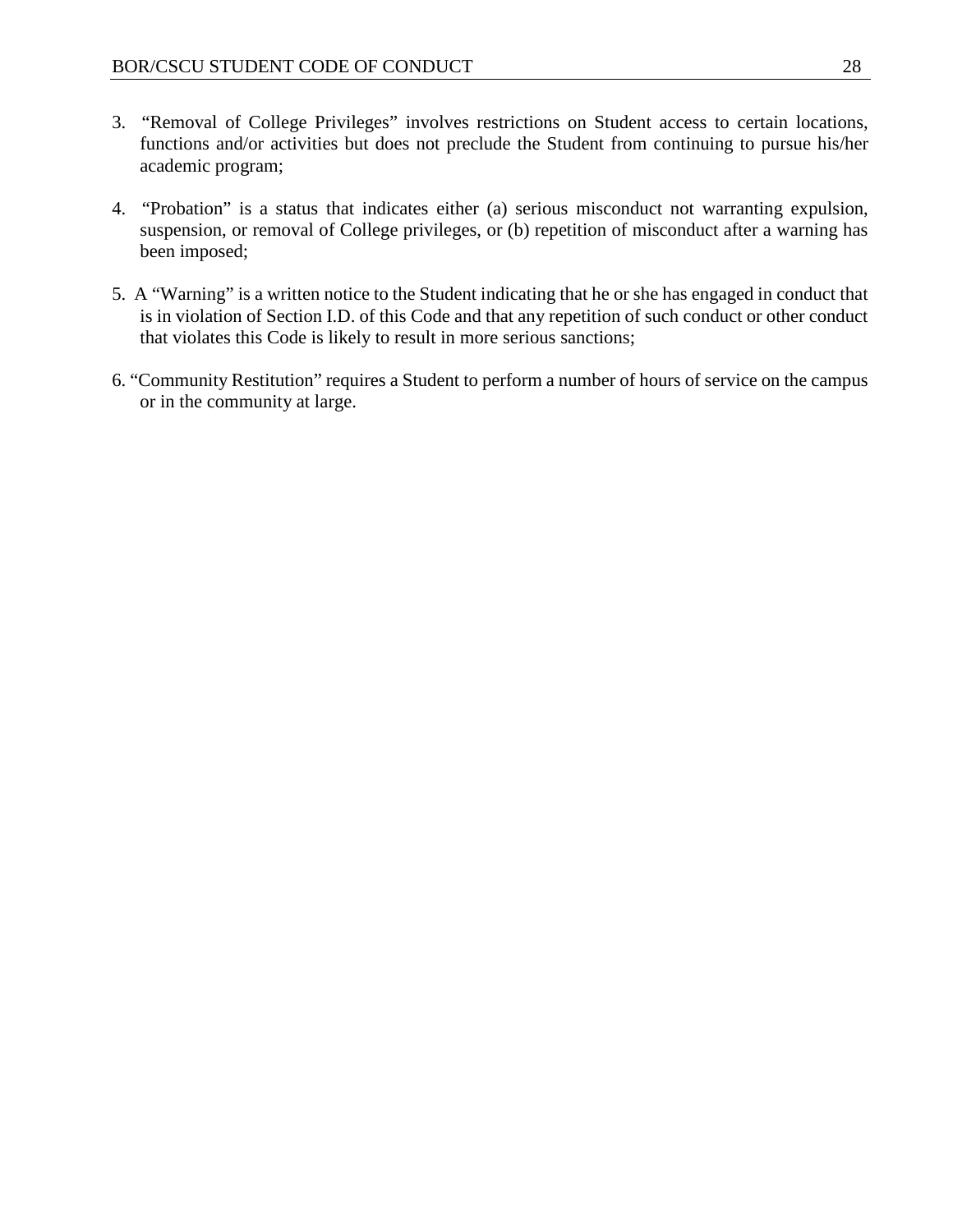- 3. "Removal of College Privileges" involves restrictions on Student access to certain locations, functions and/or activities but does not preclude the Student from continuing to pursue his/her academic program;
- 4. "Probation" is a status that indicates either (a) serious misconduct not warranting expulsion, suspension, or removal of College privileges, or (b) repetition of misconduct after a warning has been imposed;
- 5. A "Warning" is a written notice to the Student indicating that he or she has engaged in conduct that is in violation of Section I.D. of this Code and that any repetition of such conduct or other conduct that violates this Code is likely to result in more serious sanctions;
- 6. "Community Restitution" requires a Student to perform a number of hours of service on the campus or in the community at large.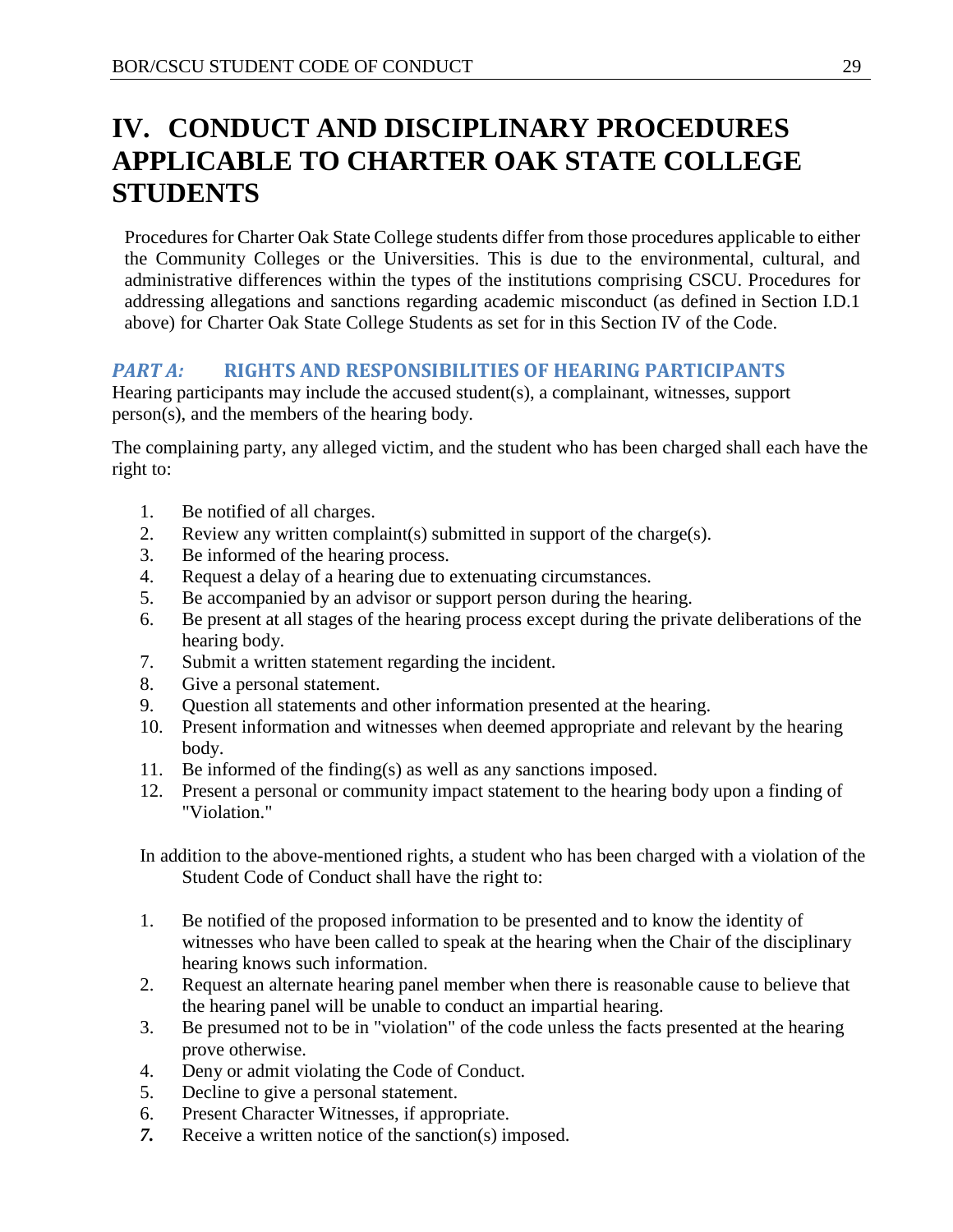# <span id="page-29-0"></span>**IV. CONDUCT AND DISCIPLINARY PROCEDURES APPLICABLE TO CHARTER OAK STATE COLLEGE STUDENTS**

Procedures for Charter Oak State College students differ from those procedures applicable to either the Community Colleges or the Universities. This is due to the environmental, cultural, and administrative differences within the types of the institutions comprising CSCU. Procedures for addressing allegations and sanctions regarding academic misconduct (as defined in Section I.D.1 above) for Charter Oak State College Students as set for in this Section IV of the Code.

## <span id="page-29-1"></span>*PART A:* **RIGHTS AND RESPONSIBILITIES OF HEARING PARTICIPANTS**

Hearing participants may include the accused student(s), a complainant, witnesses, support person(s), and the members of the hearing body.

The complaining party, any alleged victim, and the student who has been charged shall each have the right to:

- 1. Be notified of all charges.
- 2. Review any written complaint(s) submitted in support of the charge(s).
- 3. Be informed of the hearing process.
- 4. Request a delay of a hearing due to extenuating circumstances.
- 5. Be accompanied by an advisor or support person during the hearing.
- 6. Be present at all stages of the hearing process except during the private deliberations of the hearing body.
- 7. Submit a written statement regarding the incident.
- 8. Give a personal statement.
- 9. Question all statements and other information presented at the hearing.
- 10. Present information and witnesses when deemed appropriate and relevant by the hearing body.
- 11. Be informed of the finding(s) as well as any sanctions imposed.
- 12. Present a personal or community impact statement to the hearing body upon a finding of "Violation."

In addition to the above-mentioned rights, a student who has been charged with a violation of the Student Code of Conduct shall have the right to:

- 1. Be notified of the proposed information to be presented and to know the identity of witnesses who have been called to speak at the hearing when the Chair of the disciplinary hearing knows such information.
- 2. Request an alternate hearing panel member when there is reasonable cause to believe that the hearing panel will be unable to conduct an impartial hearing.
- 3. Be presumed not to be in "violation" of the code unless the facts presented at the hearing prove otherwise.
- 4. Deny or admit violating the Code of Conduct.
- 5. Decline to give a personal statement.
- 6. Present Character Witnesses, if appropriate.
- *7.* Receive a written notice of the sanction(s) imposed.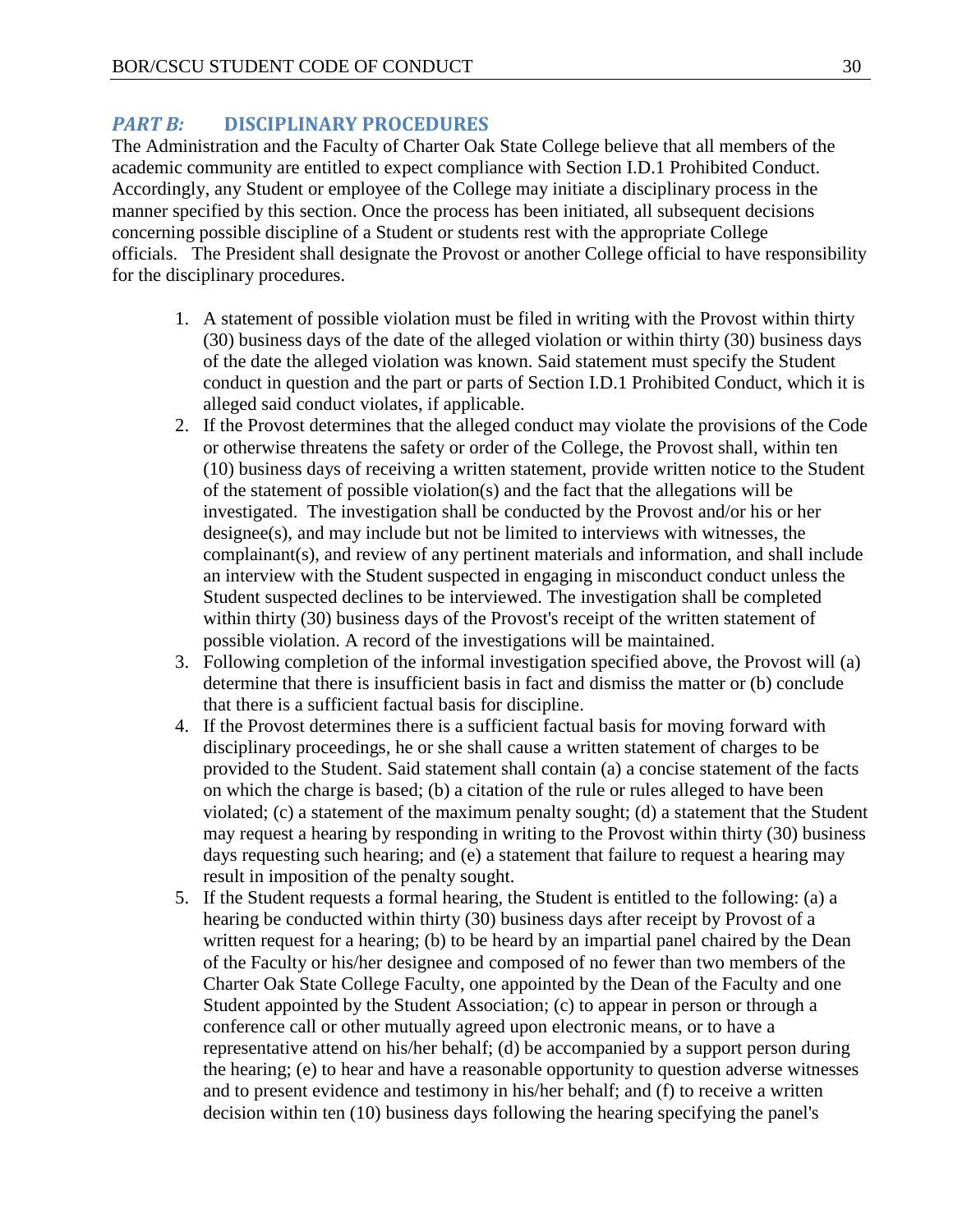#### <span id="page-30-0"></span>*PART B:* **DISCIPLINARY PROCEDURES**

The Administration and the Faculty of Charter Oak State College believe that all members of the academic community are entitled to expect compliance with Section I.D.1 Prohibited Conduct. Accordingly, any Student or employee of the College may initiate a disciplinary process in the manner specified by this section. Once the process has been initiated, all subsequent decisions concerning possible discipline of a Student or students rest with the appropriate College officials. The President shall designate the Provost or another College official to have responsibility for the disciplinary procedures.

- 1. A statement of possible violation must be filed in writing with the Provost within thirty (30) business days of the date of the alleged violation or within thirty (30) business days of the date the alleged violation was known. Said statement must specify the Student conduct in question and the part or parts of Section I.D.1 Prohibited Conduct, which it is alleged said conduct violates, if applicable.
- 2. If the Provost determines that the alleged conduct may violate the provisions of the Code or otherwise threatens the safety or order of the College, the Provost shall, within ten (10) business days of receiving a written statement, provide written notice to the Student of the statement of possible violation(s) and the fact that the allegations will be investigated. The investigation shall be conducted by the Provost and/or his or her designee(s), and may include but not be limited to interviews with witnesses, the complainant(s), and review of any pertinent materials and information, and shall include an interview with the Student suspected in engaging in misconduct conduct unless the Student suspected declines to be interviewed. The investigation shall be completed within thirty (30) business days of the Provost's receipt of the written statement of possible violation. A record of the investigations will be maintained.
- 3. Following completion of the informal investigation specified above, the Provost will (a) determine that there is insufficient basis in fact and dismiss the matter or (b) conclude that there is a sufficient factual basis for discipline.
- 4. If the Provost determines there is a sufficient factual basis for moving forward with disciplinary proceedings, he or she shall cause a written statement of charges to be provided to the Student. Said statement shall contain (a) a concise statement of the facts on which the charge is based; (b) a citation of the rule or rules alleged to have been violated; (c) a statement of the maximum penalty sought; (d) a statement that the Student may request a hearing by responding in writing to the Provost within thirty (30) business days requesting such hearing; and (e) a statement that failure to request a hearing may result in imposition of the penalty sought.
- 5. If the Student requests a formal hearing, the Student is entitled to the following: (a) a hearing be conducted within thirty (30) business days after receipt by Provost of a written request for a hearing; (b) to be heard by an impartial panel chaired by the Dean of the Faculty or his/her designee and composed of no fewer than two members of the Charter Oak State College Faculty, one appointed by the Dean of the Faculty and one Student appointed by the Student Association; (c) to appear in person or through a conference call or other mutually agreed upon electronic means, or to have a representative attend on his/her behalf; (d) be accompanied by a support person during the hearing; (e) to hear and have a reasonable opportunity to question adverse witnesses and to present evidence and testimony in his/her behalf; and (f) to receive a written decision within ten (10) business days following the hearing specifying the panel's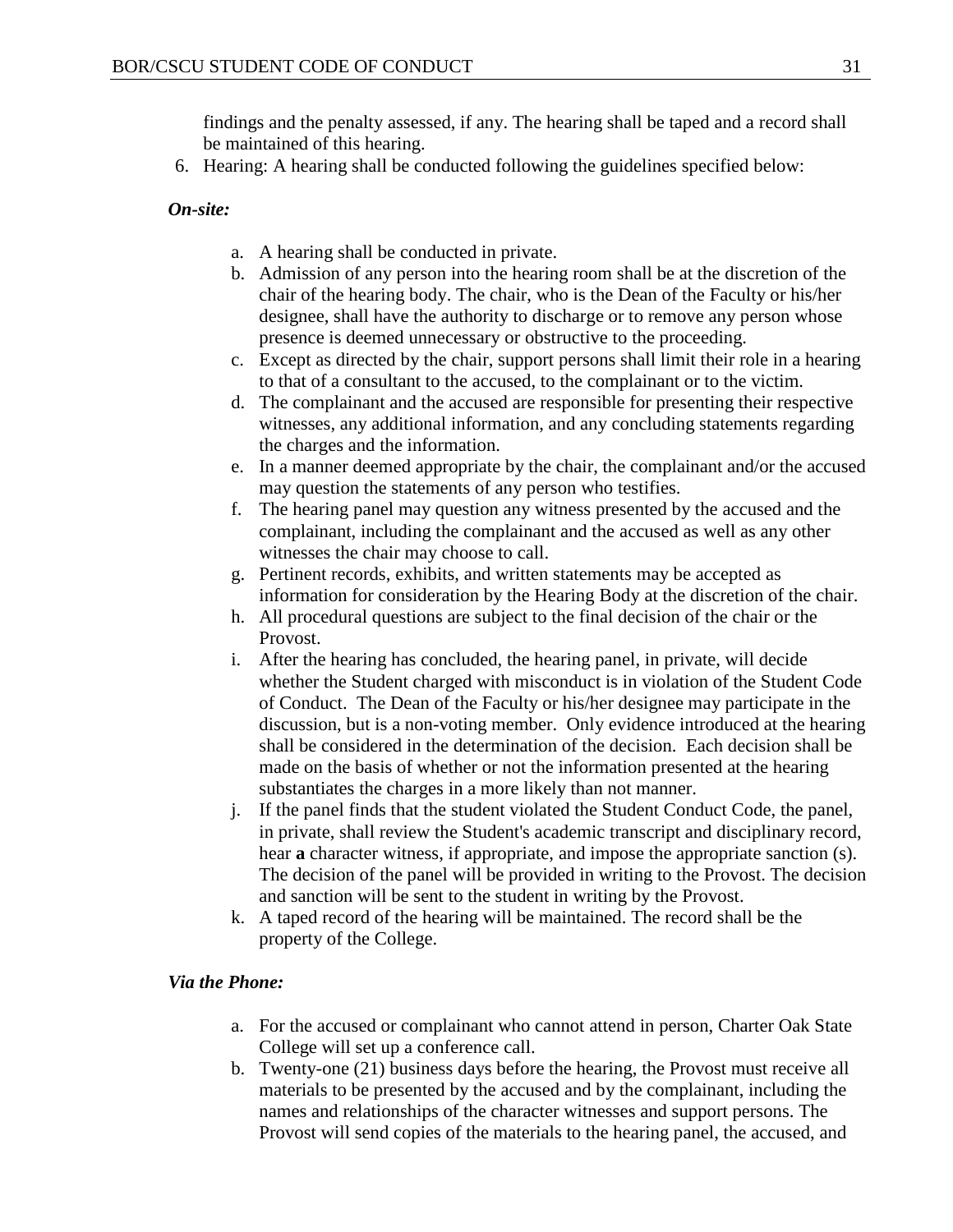findings and the penalty assessed, if any. The hearing shall be taped and a record shall be maintained of this hearing.

6. Hearing: A hearing shall be conducted following the guidelines specified below:

*On-site:* 

- a. A hearing shall be conducted in private.
- b. Admission of any person into the hearing room shall be at the discretion of the chair of the hearing body. The chair, who is the Dean of the Faculty or his/her designee, shall have the authority to discharge or to remove any person whose presence is deemed unnecessary or obstructive to the proceeding.
- c. Except as directed by the chair, support persons shall limit their role in a hearing to that of a consultant to the accused, to the complainant or to the victim.
- d. The complainant and the accused are responsible for presenting their respective witnesses, any additional information, and any concluding statements regarding the charges and the information.
- e. In a manner deemed appropriate by the chair, the complainant and/or the accused may question the statements of any person who testifies.
- f. The hearing panel may question any witness presented by the accused and the complainant, including the complainant and the accused as well as any other witnesses the chair may choose to call.
- g. Pertinent records, exhibits, and written statements may be accepted as information for consideration by the Hearing Body at the discretion of the chair.
- h. All procedural questions are subject to the final decision of the chair or the Provost.
- i. After the hearing has concluded, the hearing panel, in private, will decide whether the Student charged with misconduct is in violation of the Student Code of Conduct. The Dean of the Faculty or his/her designee may participate in the discussion, but is a non-voting member. Only evidence introduced at the hearing shall be considered in the determination of the decision. Each decision shall be made on the basis of whether or not the information presented at the hearing substantiates the charges in a more likely than not manner.
- j. If the panel finds that the student violated the Student Conduct Code, the panel, in private, shall review the Student's academic transcript and disciplinary record, hear **a** character witness, if appropriate, and impose the appropriate sanction (s). The decision of the panel will be provided in writing to the Provost. The decision and sanction will be sent to the student in writing by the Provost.
- k. A taped record of the hearing will be maintained. The record shall be the property of the College.

#### *Via the Phone:*

- a. For the accused or complainant who cannot attend in person, Charter Oak State College will set up a conference call.
- b. Twenty-one (21) business days before the hearing, the Provost must receive all materials to be presented by the accused and by the complainant, including the names and relationships of the character witnesses and support persons. The Provost will send copies of the materials to the hearing panel, the accused, and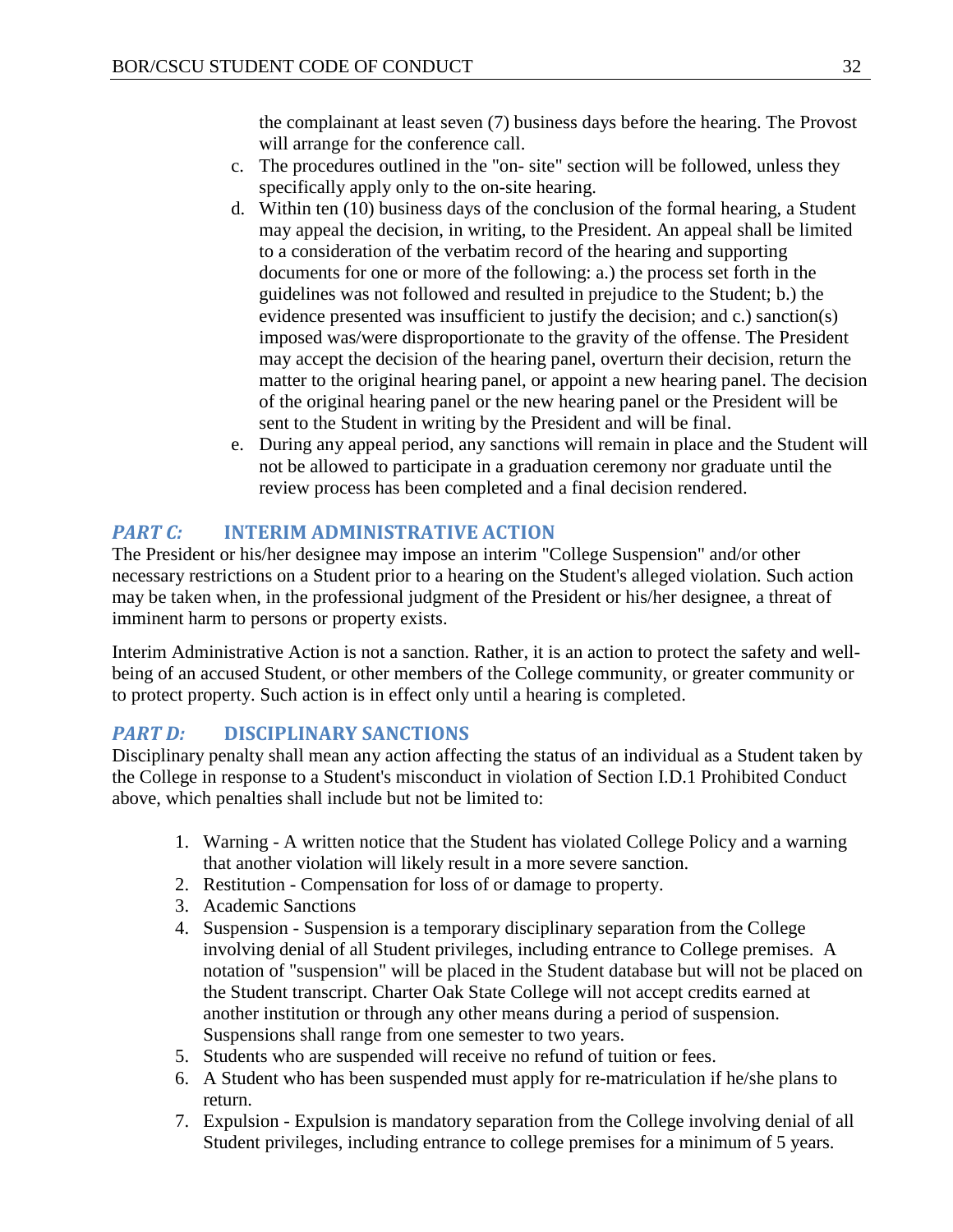the complainant at least seven (7) business days before the hearing. The Provost will arrange for the conference call.

- c. The procedures outlined in the "on- site" section will be followed, unless they specifically apply only to the on-site hearing.
- d. Within ten (10) business days of the conclusion of the formal hearing, a Student may appeal the decision, in writing, to the President. An appeal shall be limited to a consideration of the verbatim record of the hearing and supporting documents for one or more of the following: a.) the process set forth in the guidelines was not followed and resulted in prejudice to the Student; b.) the evidence presented was insufficient to justify the decision; and c.) sanction(s) imposed was/were disproportionate to the gravity of the offense. The President may accept the decision of the hearing panel, overturn their decision, return the matter to the original hearing panel, or appoint a new hearing panel. The decision of the original hearing panel or the new hearing panel or the President will be sent to the Student in writing by the President and will be final.
- e. During any appeal period, any sanctions will remain in place and the Student will not be allowed to participate in a graduation ceremony nor graduate until the review process has been completed and a final decision rendered.

## <span id="page-32-0"></span>*PART C:* **INTERIM ADMINISTRATIVE ACTION**

The President or his/her designee may impose an interim "College Suspension" and/or other necessary restrictions on a Student prior to a hearing on the Student's alleged violation. Such action may be taken when, in the professional judgment of the President or his/her designee, a threat of imminent harm to persons or property exists.

Interim Administrative Action is not a sanction. Rather, it is an action to protect the safety and wellbeing of an accused Student, or other members of the College community, or greater community or to protect property. Such action is in effect only until a hearing is completed.

## <span id="page-32-1"></span>*PART D:* **DISCIPLINARY SANCTIONS**

Disciplinary penalty shall mean any action affecting the status of an individual as a Student taken by the College in response to a Student's misconduct in violation of Section I.D.1 Prohibited Conduct above, which penalties shall include but not be limited to:

- 1. Warning A written notice that the Student has violated College Policy and a warning that another violation will likely result in a more severe sanction.
- 2. Restitution Compensation for loss of or damage to property.
- 3. Academic Sanctions
- 4. Suspension Suspension is a temporary disciplinary separation from the College involving denial of all Student privileges, including entrance to College premises. A notation of "suspension" will be placed in the Student database but will not be placed on the Student transcript. Charter Oak State College will not accept credits earned at another institution or through any other means during a period of suspension. Suspensions shall range from one semester to two years.
- 5. Students who are suspended will receive no refund of tuition or fees.
- 6. A Student who has been suspended must apply for re-matriculation if he/she plans to return.
- 7. Expulsion Expulsion is mandatory separation from the College involving denial of all Student privileges, including entrance to college premises for a minimum of 5 years.